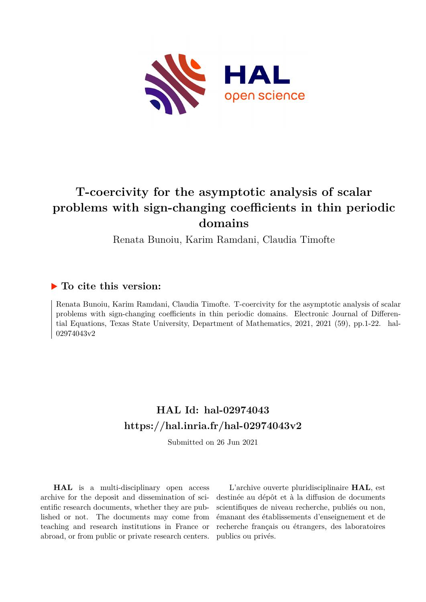

# **T-coercivity for the asymptotic analysis of scalar problems with sign-changing coefficients in thin periodic domains**

Renata Bunoiu, Karim Ramdani, Claudia Timofte

# **To cite this version:**

Renata Bunoiu, Karim Ramdani, Claudia Timofte. T-coercivity for the asymptotic analysis of scalar problems with sign-changing coefficients in thin periodic domains. Electronic Journal of Differential Equations, Texas State University, Department of Mathematics, 2021, 2021 (59), pp.1-22. hal-02974043v2

# **HAL Id: hal-02974043 <https://hal.inria.fr/hal-02974043v2>**

Submitted on 26 Jun 2021

**HAL** is a multi-disciplinary open access archive for the deposit and dissemination of scientific research documents, whether they are published or not. The documents may come from teaching and research institutions in France or abroad, or from public or private research centers.

L'archive ouverte pluridisciplinaire **HAL**, est destinée au dépôt et à la diffusion de documents scientifiques de niveau recherche, publiés ou non, émanant des établissements d'enseignement et de recherche français ou étrangers, des laboratoires publics ou privés.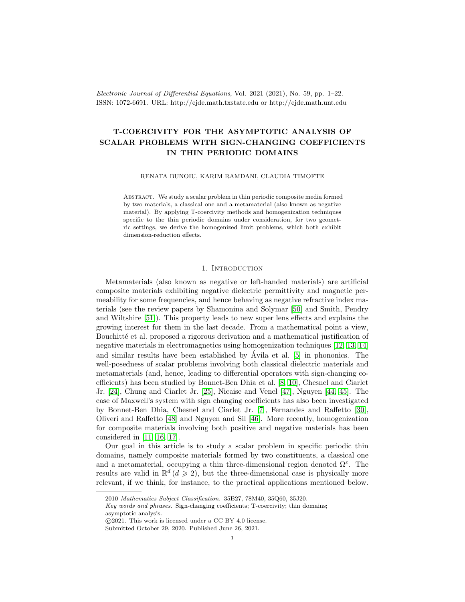Electronic Journal of Differential Equations, Vol. 2021 (2021), No. 59, pp. 1–22. ISSN: 1072-6691. URL: http://ejde.math.txstate.edu or http://ejde.math.unt.edu

# T-COERCIVITY FOR THE ASYMPTOTIC ANALYSIS OF SCALAR PROBLEMS WITH SIGN-CHANGING COEFFICIENTS IN THIN PERIODIC DOMAINS

RENATA BUNOIU, KARIM RAMDANI, CLAUDIA TIMOFTE

Abstract. We study a scalar problem in thin periodic composite media formed by two materials, a classical one and a metamaterial (also known as negative material). By applying T-coercivity methods and homogenization techniques specific to the thin periodic domains under consideration, for two geometric settings, we derive the homogenized limit problems, which both exhibit dimension-reduction effects.

### 1. INTRODUCTION

Metamaterials (also known as negative or left-handed materials) are artificial composite materials exhibiting negative dielectric permittivity and magnetic permeability for some frequencies, and hence behaving as negative refractive index materials (see the review papers by Shamonina and Solymar [50] and Smith, Pendry and Wiltshire [51]). This property leads to new super lens effects and explains the growing interest for them in the last decade. From a mathematical point a view, Bouchitté et al. proposed a rigorous derivation and a mathematical justification of negative materials in electromagnetics using homogenization techniques [12, 13, 14] and similar results have been established by  $\acute{A}$ vila et al. [5] in phononics. The well-posedness of scalar problems involving both classical dielectric materials and metamaterials (and, hence, leading to differential operators with sign-changing coefficients) has been studied by Bonnet-Ben Dhia et al. [8, 10], Chesnel and Ciarlet Jr. [24], Chung and Ciarlet Jr. [25], Nicaise and Venel [47], Nguyen [44, 45]. The case of Maxwell's system with sign changing coefficients has also been investigated by Bonnet-Ben Dhia, Chesnel and Ciarlet Jr. [7], Fernandes and Raffetto [30], Oliveri and Raffetto [48] and Nguyen and Sil [46]. More recently, homogenization for composite materials involving both positive and negative materials has been considered in [11, 16, 17].

Our goal in this article is to study a scalar problem in specific periodic thin domains, namely composite materials formed by two constituents, a classical one and a metamaterial, occupying a thin three-dimensional region denoted  $\Omega^{\varepsilon}$ . The results are valid in  $\mathbb{R}^d$  ( $d \geqslant 2$ ), but the three-dimensional case is physically more relevant, if we think, for instance, to the practical applications mentioned below.

<sup>2010</sup> Mathematics Subject Classification. 35B27, 78M40, 35Q60, 35J20.

Key words and phrases. Sign-changing coefficients; T-coercivity; thin domains; asymptotic analysis.

c 2021. This work is licensed under a CC BY 4.0 license.

Submitted October 29, 2020. Published June 26, 2021.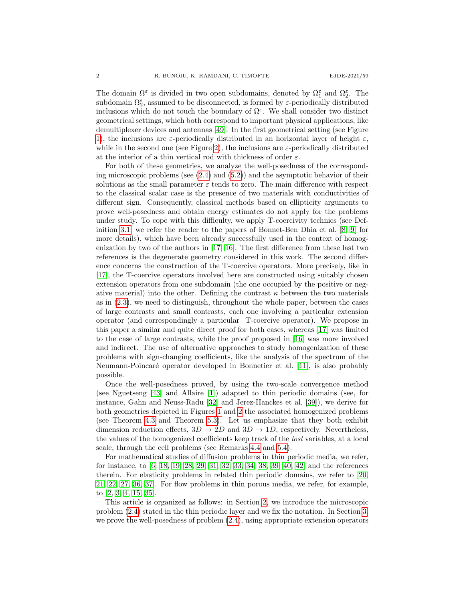The domain  $\Omega^{\varepsilon}$  is divided in two open subdomains, denoted by  $\Omega_1^{\varepsilon}$  and  $\Omega_2^{\varepsilon}$ . The subdomain  $\Omega_2^{\varepsilon}$ , assumed to be disconnected, is formed by  $\varepsilon$ -periodically distributed inclusions which do not touch the boundary of  $\Omega^{\varepsilon}$ . We shall consider two distinct geometrical settings, which both correspond to important physical applications, like demultiplexer devices and antennas [49]. In the first geometrical setting (see Figure 1), the inclusions are  $\varepsilon$ -periodically distributed in an horizontal layer of height  $\varepsilon$ , while in the second one (see Figure 2), the inclusions are  $\varepsilon$ -periodically distributed at the interior of a thin vertical rod with thickness of order  $\varepsilon$ .

For both of these geometries, we analyze the well-posedness of the corresponding microscopic problems (see (2.4) and (5.2)) and the asymptotic behavior of their solutions as the small parameter  $\varepsilon$  tends to zero. The main difference with respect to the classical scalar case is the presence of two materials with conductivities of different sign. Consequently, classical methods based on ellipticity arguments to prove well-posedness and obtain energy estimates do not apply for the problems under study. To cope with this difficulty, we apply T-coercivity technics (see Definition 3.1; we refer the reader to the papers of Bonnet-Ben Dhia et al. [8, 9] for more details), which have been already successfully used in the context of homogenization by two of the authors in [17, 16]. The first difference from these last two references is the degenerate geometry considered in this work. The second difference concerns the construction of the T-coercive operators. More precisely, like in [17], the T-coercive operators involved here are constructed using suitably chosen extension operators from one subdomain (the one occupied by the positive or negative material) into the other. Defining the contrast  $\kappa$  between the two materials as in (2.3), we need to distinguish, throughout the whole paper, between the cases of large contrasts and small contrasts, each one involving a particular extension operator (and correspondingly a particular T-coercive operator). We propose in this paper a similar and quite direct proof for both cases, whereas [17] was limited to the case of large contrasts, while the proof proposed in [16] was more involved and indirect. The use of alternative approaches to study homogenization of these problems with sign-changing coefficients, like the analysis of the spectrum of the Neumann-Poincar´e operator developed in Bonnetier et al. [11], is also probably possible.

Once the well-posedness proved, by using the two-scale convergence method (see Nguetseng [43] and Allaire [1]) adapted to thin periodic domains (see, for instance, Gahn and Neuss-Radu [32] and Jerez-Hanckes et al. [39]), we derive for both geometries depicted in Figures 1 and 2 the associated homogenized problems (see Theorem 4.3 and Theorem 5.3). Let us emphasize that they both exhibit dimension reduction effects,  $3D \rightarrow 2D$  and  $3D \rightarrow 1D$ , respectively. Nevertheless, the values of the homogenized coefficients keep track of the lost variables, at a local scale, through the cell problems (see Remarks 4.4 and 5.4).

For mathematical studies of diffusion problems in thin periodic media, we refer, for instance, to [6, 18, 19, 28, 29, 31, 32, 33, 34, 38, 39, 40, 42] and the references therein. For elasticity problems in related thin periodic domains, we refer to [20, 21, 22, 27, 36, 37]. For flow problems in thin porous media, we refer, for example, to [2, 3, 4, 15, 35].

This article is organized as follows: in Section 2, we introduce the microscopic problem (2.4) stated in the thin periodic layer and we fix the notation. In Section 3, we prove the well-posedness of problem (2.4), using appropriate extension operators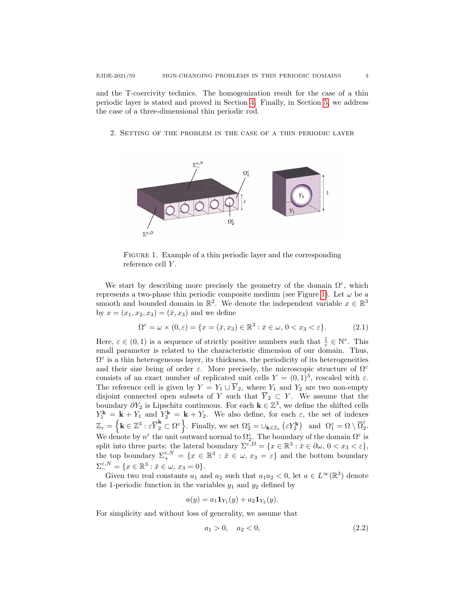and the T-coercivity technics. The homogenization result for the case of a thin periodic layer is stated and proved in Section 4. Finally, in Section 5, we address the case of a three-dimensional thin periodic rod.

2. Setting of the problem in the case of a thin periodic layer



FIGURE 1. Example of a thin periodic layer and the corresponding reference cell Y.

We start by describing more precisely the geometry of the domain  $\Omega^{\varepsilon}$ , which represents a two-phase thin periodic composite medium (see Figure 1). Let  $\omega$  be a smooth and bounded domain in  $\mathbb{R}^2$ . We denote the independent variable  $x \in \mathbb{R}^3$ by  $x = (x_1, x_2, x_3) = (\bar{x}, x_3)$  and we define

$$
\Omega^{\varepsilon} = \omega \times (0, \varepsilon) = \{ x = (\bar{x}, x_3) \in \mathbb{R}^3 : \bar{x} \in \omega, 0 < x_3 < \varepsilon \}. \tag{2.1}
$$

Here,  $\varepsilon \in (0,1)$  is a sequence of strictly positive numbers such that  $\frac{1}{\varepsilon} \in \mathbb{N}^*$ . This small parameter is related to the characteristic dimension of our domain. Thus,  $\Omega^{\varepsilon}$  is a thin heterogeneous layer, its thickness, the periodicity of its heterogeneities and their size being of order  $\varepsilon$ . More precisely, the microscopic structure of  $\Omega^{\varepsilon}$ consists of an exact number of replicated unit cells  $Y = (0, 1)^3$ , rescaled with  $\varepsilon$ . The reference cell is given by  $Y = Y_1 \cup \overline{Y}_2$ , where  $Y_1$  and  $Y_2$  are two non-empty disjoint connected open subsets of Y such that  $\overline{Y}_2 \subset Y$ . We assume that the boundary  $\partial Y_2$  is Lipschitz continuous. For each  $\mathbf{k} \in \mathbb{Z}^3$ , we define the shifted cells  $Y_1^{\mathbf{k}} = \mathbf{k} + Y_1$  and  $Y_2^{\mathbf{k}} = \mathbf{k} + Y_2$ . We also define, for each  $\varepsilon$ , the set of indexes  $\mathbb{Z}_{\varepsilon} = \left\{ \mathbf{k} \in \mathbb{Z}^3 : \varepsilon \overline{Y}_2^{\mathbf{k}} \subset \Omega^{\varepsilon} \right\}$ . Finally, we set  $\Omega^{\varepsilon}_2 = \cup_{\mathbf{k} \in \mathbb{Z}_{\varepsilon}} (\varepsilon Y_2^{\mathbf{k}})$  and  $\Omega^{\varepsilon}_1 = \Omega \setminus \overline{\Omega}^{\varepsilon}_2$  $\frac{z}{2}$ . We denote by  $n^{\varepsilon}$  the unit outward normal to  $\Omega_{2}^{\varepsilon}$ . The boundary of the domain  $\Omega^{\varepsilon}$  is split into three parts: the lateral boundary  $\Sigma^{\varepsilon,D} = \{x \in \mathbb{R}^3 : \bar{x} \in \partial \omega, 0 < x_3 < \varepsilon\},\$ the top boundary  $\Sigma^{ \varepsilon, N }_{+} = \{ x \in \mathbb{R}^3 : \bar{x} \in \omega, x_3 = \varepsilon \}$  and the bottom boundary  $\Sigma^{\varepsilon, N}_{-} = \{x \in \mathbb{R}^3 : \bar{x} \in \omega, x_3 = 0\}.$ 

Given two real constants  $a_1$  and  $a_2$  such that  $a_1 a_2 < 0$ , let  $a \in L^{\infty}(\mathbb{R}^3)$  denote the 1-periodic function in the variables  $y_1$  and  $y_2$  defined by

$$
a(y) = a_1 \mathbf{1}_{Y_1}(y) + a_2 \mathbf{1}_{Y_2}(y).
$$

For simplicity and without loss of generality, we assume that

$$
a_1 > 0, \quad a_2 < 0,\tag{2.2}
$$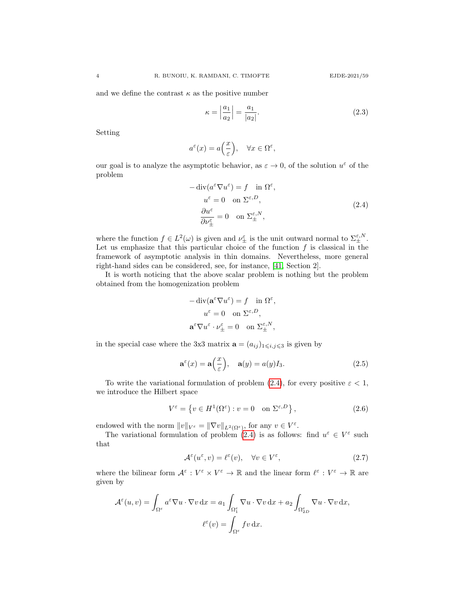and we define the contrast  $\kappa$  as the positive number

$$
\kappa = \left| \frac{a_1}{a_2} \right| = \frac{a_1}{|a_2|}.\tag{2.3}
$$

Setting

$$
a^{\varepsilon}(x) = a\Big(\frac{x}{{\varepsilon}}\Big), \quad \forall x \in \Omega^{\varepsilon},
$$

our goal is to analyze the asymptotic behavior, as  $\varepsilon \to 0$ , of the solution  $u^{\varepsilon}$  of the problem

$$
-\operatorname{div}(a^{\varepsilon} \nabla u^{\varepsilon}) = f \quad \text{in } \Omega^{\varepsilon},
$$

$$
u^{\varepsilon} = 0 \quad \text{on } \Sigma^{\varepsilon, D},
$$

$$
\frac{\partial u^{\varepsilon}}{\partial \nu_{\pm}^{\varepsilon}} = 0 \quad \text{on } \Sigma^{\varepsilon, N}_{\pm},
$$

$$
(2.4)
$$

where the function  $f \in L^2(\omega)$  is given and  $\nu_{\pm}^{\varepsilon}$  is the unit outward normal to  $\Sigma_{\pm}^{\varepsilon,N}$ . Let us emphasize that this particular choice of the function  $f$  is classical in the framework of asymptotic analysis in thin domains. Nevertheless, more general right-hand sides can be considered, see, for instance, [41, Section 2].

It is worth noticing that the above scalar problem is nothing but the problem obtained from the homogenization problem

$$
\label{eq:2.1} \begin{split} -\operatorname{div}(\mathbf{a}^\varepsilon \nabla u^\varepsilon) &= f \quad \text{in } \Omega^\varepsilon, \\ u^\varepsilon &= 0 \quad \text{on } \Sigma^{\varepsilon, D}, \\ \mathbf{a}^\varepsilon \nabla u^\varepsilon \cdot \nu_\pm^\varepsilon &= 0 \quad \text{on } \Sigma_\pm^{\varepsilon, N}, \end{split}
$$

in the special case where the 3x3 matrix  $\mathbf{a} = (a_{ij})_{1 \leq i,j \leq 3}$  is given by

$$
\mathbf{a}^{\varepsilon}(x) = \mathbf{a}\left(\frac{x}{\varepsilon}\right), \quad \mathbf{a}(y) = a(y)I_3. \tag{2.5}
$$

To write the variational formulation of problem (2.4), for every positive  $\varepsilon < 1$ , we introduce the Hilbert space

$$
V^{\varepsilon} = \left\{ v \in H^{1}(\Omega^{\varepsilon}) : v = 0 \quad \text{on } \Sigma^{\varepsilon, D} \right\},\tag{2.6}
$$

endowed with the norm  $||v||_{V^{\varepsilon}} = ||\nabla v||_{L^2(\Omega^{\varepsilon})}$ , for any  $v \in V^{\varepsilon}$ .

The variational formulation of problem (2.4) is as follows: find  $u^{\varepsilon} \in V^{\varepsilon}$  such that

$$
\mathcal{A}^{\varepsilon}(u^{\varepsilon}, v) = \ell^{\varepsilon}(v), \quad \forall v \in V^{\varepsilon}, \tag{2.7}
$$

where the bilinear form  $\mathcal{A}^{\varepsilon}: V^{\varepsilon} \times V^{\varepsilon} \to \mathbb{R}$  and the linear form  $\ell^{\varepsilon}: V^{\varepsilon} \to \mathbb{R}$  are given by

$$
\mathcal{A}^{\varepsilon}(u,v) = \int_{\Omega^{\varepsilon}} a^{\varepsilon} \nabla u \cdot \nabla v \,dx = a_1 \int_{\Omega_1^{\varepsilon}} \nabla u \cdot \nabla v \,dx + a_2 \int_{\Omega_{2D}^{\varepsilon}} \nabla u \cdot \nabla v \,dx,
$$

$$
\ell^{\varepsilon}(v) = \int_{\Omega^{\varepsilon}} fv \,dx.
$$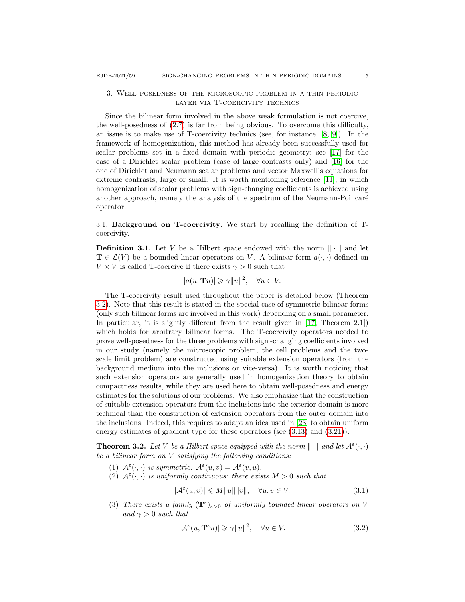# 3. Well-posedness of the microscopic problem in a thin periodic layer via T-coercivity technics

Since the bilinear form involved in the above weak formulation is not coercive, the well-posedness of (2.7) is far from being obvious. To overcome this difficulty, an issue is to make use of T-coercivity technics (see, for instance, [8, 9]). In the framework of homogenization, this method has already been successfully used for scalar problems set in a fixed domain with periodic geometry; see [17] for the case of a Dirichlet scalar problem (case of large contrasts only) and [16] for the one of Dirichlet and Neumann scalar problems and vector Maxwell's equations for extreme contrasts, large or small. It is worth mentioning reference [11], in which homogenization of scalar problems with sign-changing coefficients is achieved using another approach, namely the analysis of the spectrum of the Neumann-Poincaré operator.

3.1. Background on T-coercivity. We start by recalling the definition of Tcoercivity.

**Definition 3.1.** Let V be a Hilbert space endowed with the norm  $\|\cdot\|$  and let  $\mathbf{T} \in \mathcal{L}(V)$  be a bounded linear operators on V. A bilinear form  $a(\cdot, \cdot)$  defined on  $V \times V$  is called T-coercive if there exists  $\gamma > 0$  such that

$$
|a(u, \mathbf{T}u)| \geq \gamma ||u||^2, \quad \forall u \in V.
$$

The T-coercivity result used throughout the paper is detailed below (Theorem 3.2). Note that this result is stated in the special case of symmetric bilinear forms (only such bilinear forms are involved in this work) depending on a small parameter. In particular, it is slightly different from the result given in [17, Theorem 2.1]) which holds for arbitrary bilinear forms. The T-coercivity operators needed to prove well-posedness for the three problems with sign -changing coefficients involved in our study (namely the microscopic problem, the cell problems and the twoscale limit problem) are constructed using suitable extension operators (from the background medium into the inclusions or vice-versa). It is worth noticing that such extension operators are generally used in homogenization theory to obtain compactness results, while they are used here to obtain well-posedness and energy estimates for the solutions of our problems. We also emphasize that the construction of suitable extension operators from the inclusions into the exterior domain is more technical than the construction of extension operators from the outer domain into the inclusions. Indeed, this requires to adapt an idea used in [23] to obtain uniform energy estimates of gradient type for these operators (see  $(3.13)$ ) and  $(3.21)$ ).

**Theorem 3.2.** Let V be a Hilbert space equipped with the norm  $\|\cdot\|$  and let  $\mathcal{A}^{\varepsilon}(\cdot,\cdot)$ be a bilinear form on  $V$  satisfying the following conditions:

- (1)  $A^{\varepsilon}(\cdot,\cdot)$  is symmetric:  $A^{\varepsilon}(u,v) = A^{\varepsilon}(v,u)$ .
- (2)  $A^{\varepsilon}(\cdot,\cdot)$  is uniformly continuous: there exists  $M > 0$  such that

$$
|\mathcal{A}^{\varepsilon}(u,v)| \leq M||u|| ||v||, \quad \forall u, v \in V.
$$
\n(3.1)

(3) There exists a family  $(\mathbf{T}^{\varepsilon})_{\varepsilon>0}$  of uniformly bounded linear operators on V and  $\gamma > 0$  such that

$$
|\mathcal{A}^{\varepsilon}(u, \mathbf{T}^{\varepsilon}u)| \geq \gamma ||u||^2, \quad \forall u \in V. \tag{3.2}
$$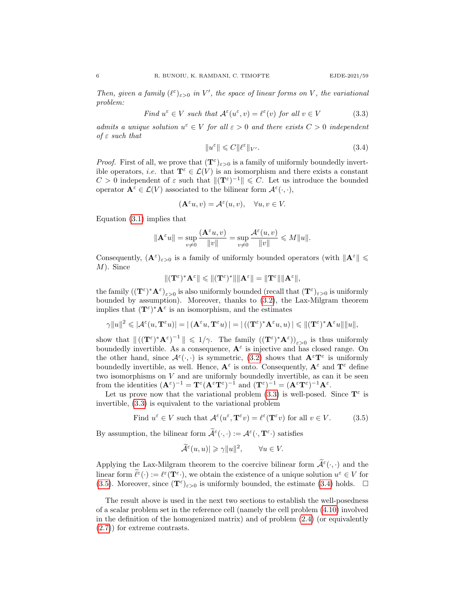Then, given a family  $(\ell^{\varepsilon})_{\varepsilon>0}$  in V', the space of linear forms on V, the variational problem:

Find 
$$
u^{\varepsilon} \in V
$$
 such that  $\mathcal{A}^{\varepsilon}(u^{\varepsilon}, v) = \ell^{\varepsilon}(v)$  for all  $v \in V$  (3.3)

admits a unique solution  $u^{\varepsilon} \in V$  for all  $\varepsilon > 0$  and there exists  $C > 0$  independent of  $\varepsilon$  such that

$$
||u^{\varepsilon}|| \leqslant C||\ell^{\varepsilon}||_{V'}.\tag{3.4}
$$

*Proof.* First of all, we prove that  $(\mathbf{T}^{\varepsilon})_{\varepsilon>0}$  is a family of uniformly boundedly invertible operators, *i.e.* that  $\mathbf{T}^{\varepsilon} \in \mathcal{L}(V)$  is an isomorphism and there exists a constant  $C > 0$  independent of  $\varepsilon$  such that  $\|(\mathbf{T}^{\varepsilon})^{-1}\| \leq C$ . Let us introduce the bounded operator  $\mathbf{A}^{\varepsilon} \in \mathcal{L}(V)$  associated to the bilinear form  $\mathcal{A}^{\varepsilon}(\cdot,\cdot),$ 

$$
(\mathbf{A}^{\varepsilon}u, v) = \mathcal{A}^{\varepsilon}(u, v), \quad \forall u, v \in V.
$$

Equation (3.1) implies that

$$
\|\mathbf{A}^\varepsilon u\|=\sup_{v\neq 0}\frac{(\mathbf{A}^\varepsilon u,v)}{\|v\|}=\sup_{v\neq 0}\frac{\mathcal{A}^\varepsilon(u,v)}{\|v\|}\leqslant M\|u\|.
$$

Consequently,  $(\mathbf{A}^{\varepsilon})_{\varepsilon>0}$  is a family of uniformly bounded operators (with  $\|\mathbf{A}^{\varepsilon}\| \leq$ M). Since

$$
\|(\mathbf{T}^\varepsilon)^* \mathbf{A}^\varepsilon\| \leqslant \|(\mathbf{T}^\varepsilon)^*\| \|\mathbf{A}^\varepsilon\| = \|\mathbf{T}^\varepsilon\| \|\mathbf{A}^\varepsilon\|,
$$

the family  $((\mathbf{T}^{\varepsilon})^*\mathbf{A}^{\varepsilon})_{\varepsilon>0}$  is also uniformly bounded (recall that  $(\mathbf{T}^{\varepsilon})_{\varepsilon>0}$  is uniformly bounded by assumption). Moreover, thanks to (3.2), the Lax-Milgram theorem implies that  $(\mathbf{T}^{\varepsilon})^* \mathbf{A}^{\varepsilon}$  is an isomorphism, and the estimates

$$
\gamma ||u||^2 \leqslant |\mathcal{A}^{\varepsilon}(u, \mathbf{T}^{\varepsilon} u)| = |(\mathbf{A}^{\varepsilon} u, \mathbf{T}^{\varepsilon} u)| = |((\mathbf{T}^{\varepsilon})^* \mathbf{A}^{\varepsilon} u, u)| \leqslant ||(\mathbf{T}^{\varepsilon})^* \mathbf{A}^{\varepsilon} u|| ||u||,
$$

show that  $\|((\mathbf{T}^{\varepsilon})^*\mathbf{A}^{\varepsilon})^{-1}\| \leq 1/\gamma$ . The family  $((\mathbf{T}^{\varepsilon})^*\mathbf{A}^{\varepsilon})_{\varepsilon>0}$  is thus uniformly boundedly invertible. As a consequence,  $A^{\varepsilon}$  is injective and has closed range. On the other hand, since  $\mathcal{A}^{\varepsilon}(\cdot,\cdot)$  is symmetric, (3.2) shows that  $\mathbf{A}^{\varepsilon} \mathbf{T}^{\varepsilon}$  is uniformly boundedly invertible, as well. Hence,  $A^{\varepsilon}$  is onto. Consequently,  $A^{\varepsilon}$  and  $T^{\varepsilon}$  define two isomorphisms on  $V$  and are uniformly boundedly invertible, as can it be seen from the identities  $(\mathbf{A}^{\varepsilon})^{-1} = \mathbf{T}^{\varepsilon} (\mathbf{A}^{\varepsilon} \mathbf{T}^{\varepsilon})^{-1}$  and  $(\mathbf{T}^{\varepsilon})^{-1} = (\mathbf{A}^{\varepsilon} \mathbf{T}^{\varepsilon})^{-1} \mathbf{A}^{\varepsilon}$ .

Let us prove now that the variational problem (3.3) is well-posed. Since  $T^{\varepsilon}$  is invertible, (3.3) is equivalent to the variational problem

Find 
$$
u^{\varepsilon} \in V
$$
 such that  $\mathcal{A}^{\varepsilon}(u^{\varepsilon}, \mathbf{T}^{\varepsilon}v) = \ell^{\varepsilon}(\mathbf{T}^{\varepsilon}v)$  for all  $v \in V$ . (3.5)

By assumption, the bilinear form  $\tilde{\mathcal{A}}^{\varepsilon}(\cdot,\cdot) := \mathcal{A}^{\varepsilon}(\cdot,\mathbf{T}^{\varepsilon}\cdot)$  satisfies

$$
\widetilde{\mathcal{A}}^{\varepsilon}(u, u)| \geqslant \gamma ||u||^2, \qquad \forall u \in V.
$$

Applying the Lax-Milgram theorem to the coercive bilinear form  $\tilde{\mathcal{A}}^{\varepsilon}(\cdot,\cdot)$  and the linear form  $\tilde{\ell}^{\varepsilon}(\cdot) := \ell^{\varepsilon}(\mathbf{T}^{\varepsilon})$ , we obtain the existence of a unique solution  $u^{\varepsilon} \in V$  for (3.5). Moreover, since  $(\mathbf{T}^{\varepsilon})_{\varepsilon>0}$  is uniformly bounded, the estimate (3.4) holds.  $\square$ 

The result above is used in the next two sections to establish the well-posedness of a scalar problem set in the reference cell (namely the cell problem (4.10) involved in the definition of the homogenized matrix) and of problem (2.4) (or equivalently (2.7)) for extreme contrasts.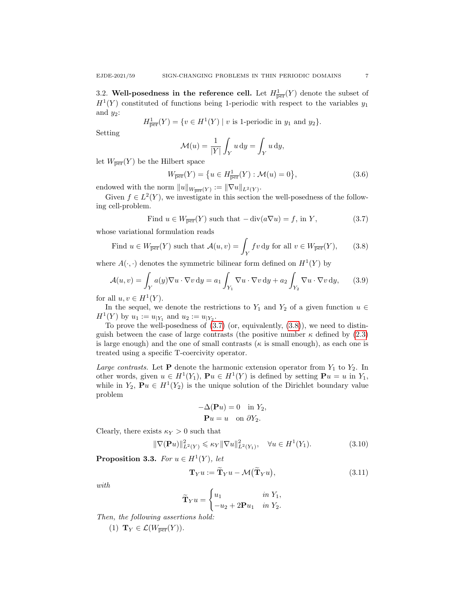3.2. Well-posedness in the reference cell. Let  $H^1_{\overline{per}}(Y)$  denote the subset of  $H<sup>1</sup>(Y)$  constituted of functions being 1-periodic with respect to the variables  $y<sub>1</sub>$ and  $y_2$ :

$$
H^1_{\overline{\text{per}}}(Y) = \{ v \in H^1(Y) \mid v \text{ is 1-periodic in } y_1 \text{ and } y_2 \}.
$$

Setting

$$
\mathcal{M}(u) = \frac{1}{|Y|} \int_Y u \, dy = \int_Y u \, dy,
$$

let  $W_{\overline{\text{per}}}(Y)$  be the Hilbert space

$$
W_{\overline{\text{per}}}(Y) = \{ u \in H_{\overline{\text{per}}}^1(Y) : \mathcal{M}(u) = 0 \},
$$
\n(3.6)

endowed with the norm  $||u||_{W_{\overline{\text{per}}}(Y)} := ||\nabla u||_{L^2(Y)}$ .

Given  $f \in L^2(Y)$ , we investigate in this section the well-posedness of the following cell-problem.

Find 
$$
u \in W_{\overline{\text{per}}}(Y)
$$
 such that  $-\text{div}(a\nabla u) = f$ , in Y,  $(3.7)$ 

whose variational formulation reads

Find 
$$
u \in W_{\overline{\text{per}}}(Y)
$$
 such that  $\mathcal{A}(u, v) = \int_Y fv \, dy$  for all  $v \in W_{\overline{\text{per}}}(Y)$ , (3.8)

where  $A(\cdot, \cdot)$  denotes the symmetric bilinear form defined on  $H^1(Y)$  by

$$
\mathcal{A}(u,v) = \int_{Y} a(y) \nabla u \cdot \nabla v \, dy = a_1 \int_{Y_1} \nabla u \cdot \nabla v \, dy + a_2 \int_{Y_2} \nabla u \cdot \nabla v \, dy, \qquad (3.9)
$$

for all  $u, v \in H^1(Y)$ .

In the sequel, we denote the restrictions to  $Y_1$  and  $Y_2$  of a given function  $u \in$  $H^1(Y)$  by  $u_1 := u_{|Y_1}$  and  $u_2 := u_{|Y_2}$ .

To prove the well-posedness of  $(3.7)$  (or, equivalently,  $(3.8)$ ), we need to distinguish between the case of large contrasts (the positive number  $\kappa$  defined by (2.3) is large enough) and the one of small contrasts ( $\kappa$  is small enough), as each one is treated using a specific T-coercivity operator.

Large contrasts. Let **P** denote the harmonic extension operator from  $Y_1$  to  $Y_2$ . In other words, given  $u \in H^1(Y_1)$ ,  $\mathbf{P}u \in H^1(Y)$  is defined by setting  $\mathbf{P}u = u$  in  $Y_1$ , while in  $Y_2, \mathbf{P}u \in H^1(Y_2)$  is the unique solution of the Dirichlet boundary value problem

$$
-\Delta(\mathbf{P}u) = 0 \text{ in } Y_2,
$$
  

$$
\mathbf{P}u = u \text{ on } \partial Y_2.
$$

Clearly, there exists  $\kappa_Y > 0$  such that

$$
\|\nabla(\mathbf{P}u)\|_{L^2(Y)}^2 \le \kappa_Y \|\nabla u\|_{L^2(Y_1)}^2, \quad \forall u \in H^1(Y_1). \tag{3.10}
$$

**Proposition 3.3.** For  $u \in H^1(Y)$ , let

$$
\mathbf{T}_{Y}u := \widetilde{\mathbf{T}}_{Y}u - \mathcal{M}(\widetilde{\mathbf{T}}_{Y}u), \qquad (3.11)
$$

with

$$
\widetilde{\mathbf{T}}_Y u = \begin{cases} u_1 & \text{in } Y_1, \\ -u_2 + 2\mathbf{P} u_1 & \text{in } Y_2. \end{cases}
$$

Then, the following assertions hold:

(1)  $\mathbf{T}_Y \in \mathcal{L}(W_{\overline{\text{per}}}(Y)).$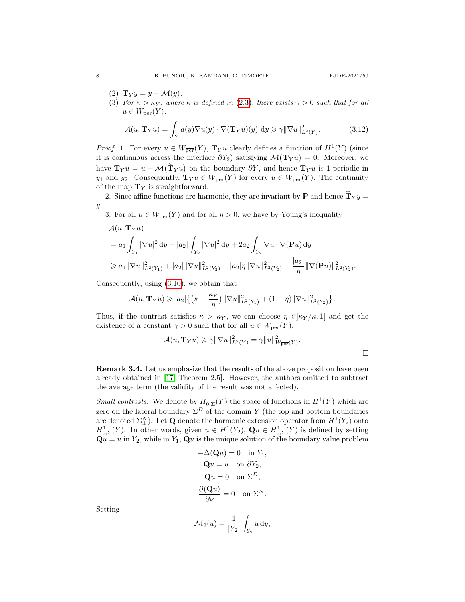- (2)  $\mathbf{T}_Y y = y \mathcal{M}(y)$ .
- (3) For  $\kappa > \kappa_Y$ , where  $\kappa$  is defined in (2.3), there exists  $\gamma > 0$  such that for all  $u \in W_{\overline{\text{per}}}(Y)$ :

$$
\mathcal{A}(u, \mathbf{T}_Y u) = \int_Y a(y) \nabla u(y) \cdot \nabla (\mathbf{T}_Y u)(y) dy \ge \gamma ||\nabla u||^2_{L^2(Y)}.
$$
 (3.12)

*Proof.* 1. For every  $u \in W_{\overline{per}}(Y)$ ,  $T_Y u$  clearly defines a function of  $H^1(Y)$  (since it is continuous across the interface  $\partial Y_2$ ) satisfying  $\mathcal{M}(\mathbf{T}_Y u) = 0$ . Moreover, we have  $\mathbf{T}_Y u = u - \mathcal{M}(\mathbf{T}_Y u)$  on the boundary  $\partial Y$ , and hence  $\mathbf{T}_Y u$  is 1-periodic in  $y_1$  and  $y_2$ . Consequently,  $\mathbf{T}_Y u \in W_{\overline{\text{per}}}(Y)$  for every  $u \in W_{\overline{\text{per}}}(Y)$ . The continuity of the map  $T_Y$  is straightforward.

2. Since affine functions are harmonic, they are invariant by **P** and hence  $\widetilde{\mathbf{T}}_Y y =$ y.

3. For all  $u \in W_{\overline{per}}(Y)$  and for all  $\eta > 0$ , we have by Young's inequality

$$
\mathcal{A}(u, \mathbf{T}_{Y}u)
$$
\n
$$
= a_{1} \int_{Y_{1}} |\nabla u|^{2} dy + |a_{2}| \int_{Y_{2}} |\nabla u|^{2} dy + 2a_{2} \int_{Y_{2}} \nabla u \cdot \nabla(\mathbf{P}u) dy
$$
\n
$$
\geq a_{1} \|\nabla u\|_{L^{2}(Y_{1})}^{2} + |a_{2}| \|\nabla u\|_{L^{2}(Y_{2})}^{2} - |a_{2}|\eta \|\nabla u\|_{L^{2}(Y_{2})}^{2} - \frac{|a_{2}|}{\eta} \|\nabla(\mathbf{P}u)\|_{L^{2}(Y_{2})}^{2}.
$$

Consequently, using (3.10), we obtain that

$$
\mathcal{A}(u, \mathbf{T}_{Y}u) \geqslant |a_{2}| \big\{ \big( \kappa - \frac{\kappa_{Y}}{\eta} \big) \|\nabla u\|_{L^{2}(Y_{1})}^{2} + (1 - \eta) \|\nabla u\|_{L^{2}(Y_{2})}^{2} \big\}.
$$

Thus, if the contrast satisfies  $\kappa > \kappa_Y$ , we can choose  $\eta \in ]\kappa_Y/\kappa, 1[$  and get the existence of a constant  $\gamma > 0$  such that for all  $u \in W_{\overline{\text{per}}}(Y)$ ,

$$
\mathcal{A}(u, \mathbf{T}_Y u) \ge \gamma \|\nabla u\|_{L^2(Y)}^2 = \gamma \|u\|_{W_{\overline{\text{per}}}(Y)}^2.
$$

Remark 3.4. Let us emphasize that the results of the above proposition have been already obtained in [17, Theorem 2.5]. However, the authors omitted to subtract the average term (the validity of the result was not affected).

*Small contrasts.* We denote by  $H^1_{0,\Sigma}(Y)$  the space of functions in  $H^1(Y)$  which are zero on the lateral boundary  $\Sigma^D$  of the domain Y (the top and bottom boundaries are denoted  $\Sigma_{\pm}^{N}$ ). Let **Q** denote the harmonic extension operator from  $H^{1}(Y_2)$  onto  $H_{0,\Sigma}^1(Y)$ . In other words, given  $u \in H^1(Y_2)$ ,  $\mathbf{Q} u \in H_{0,\Sigma}^1(Y)$  is defined by setting  $\mathbf{Q}u = u$  in  $Y_2$ , while in  $Y_1$ ,  $\mathbf{Q}u$  is the unique solution of the boundary value problem

$$
-\Delta(\mathbf{Q}u) = 0 \text{ in } Y_1,
$$
  
\n
$$
\mathbf{Q}u = u \text{ on } \partial Y_2,
$$
  
\n
$$
\mathbf{Q}u = 0 \text{ on } \Sigma^D,
$$
  
\n
$$
\frac{\partial(\mathbf{Q}u)}{\partial\nu} = 0 \text{ on } \Sigma^N_{\pm}.
$$

Setting

$$
\mathcal{M}_2(u) = \frac{1}{|Y_2|} \int_{Y_2} u \, dy,
$$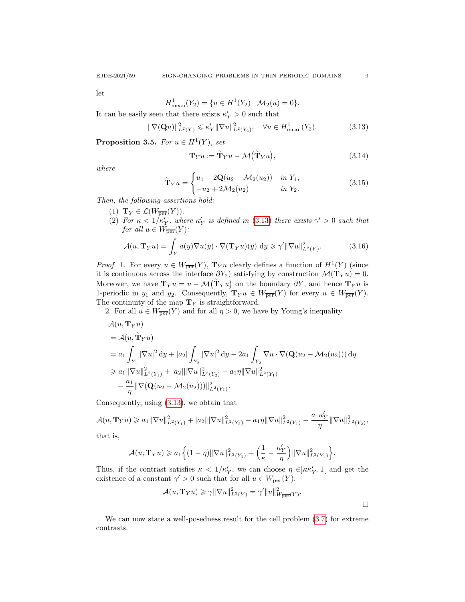$\Box$ 

let

$$
H_{\text{mean}}^1(Y_2) = \{ u \in H^1(Y_2) \mid \mathcal{M}_2(u) = 0 \}.
$$

It can be easily seen that there exists  $\kappa'_Y > 0$  such that

$$
\|\nabla(\mathbf{Q}u)\|_{L^2(Y)}^2 \le \kappa_Y' \|\nabla u\|_{L^2(Y_2)}^2, \quad \forall u \in H_{\text{mean}}^1(Y_2). \tag{3.13}
$$

**Proposition 3.5.** For  $u \in H^1(Y)$ , set

$$
\mathbf{T}_{Y}u := \widetilde{\mathbf{T}}_{Y}u - \mathcal{M}(\widetilde{\mathbf{T}}_{Y}u), \qquad (3.14)
$$

where

$$
\widetilde{\mathbf{T}}_Y u = \begin{cases} u_1 - 2\mathbf{Q}(u_2 - \mathcal{M}_2(u_2)) & \text{in } Y_1, \\ -u_2 + 2\mathcal{M}_2(u_2) & \text{in } Y_2. \end{cases}
$$
\n(3.15)

Then, the following assertions hold:

- (1)  $\mathbf{T}_Y \in \mathcal{L}(W_{\overline{\text{per}}}(Y)).$
- (2) For  $\kappa < 1/\kappa'_Y$ , where  $\kappa'_Y$  is defined in (3.13) there exists  $\gamma' > 0$  such that for all  $u \in W_{\overline{\text{per}}}(Y)$ :

$$
\mathcal{A}(u, \mathbf{T}_Y u) = \int_Y a(y) \nabla u(y) \cdot \nabla(\mathbf{T}_Y u)(y) \, \mathrm{d}y \geq \gamma' ||\nabla u||^2_{L^2(Y)}.
$$
 (3.16)

*Proof.* 1. For every  $u \in W_{\overline{per}}(Y)$ ,  $T_Y u$  clearly defines a function of  $H^1(Y)$  (since it is continuous across the interface  $\partial Y_2$ ) satisfying by construction  $\mathcal{M}(\mathbf{T}_Y u) = 0$ . Moreover, we have  $\mathbf{T}_Y u = u - \mathcal{M}(\mathbf{T}_Y u)$  on the boundary  $\partial Y$ , and hence  $\mathbf{T}_Y u$  is 1-periodic in  $y_1$  and  $y_2$ . Consequently,  $\mathbf{T}_Y u \in W_{\overline{\text{per}}}(Y)$  for every  $u \in W_{\overline{\text{per}}}(Y)$ . The continuity of the map  $T_Y$  is straightforward.

2. For all  $u \in W_{\overline{\text{per}}}(Y)$  and for all  $\eta > 0$ , we have by Young's inequality

$$
\begin{split}\n&\mathcal{A}(u, \mathbf{T}_{Y}u) \\
&= \mathcal{A}(u, \widetilde{\mathbf{T}}_{Y}u) \\
&= a_{1} \int_{Y_{1}} |\nabla u|^{2} \, \mathrm{d}y + |a_{2}| \int_{Y_{2}} |\nabla u|^{2} \, \mathrm{d}y - 2a_{1} \int_{Y_{2}} \nabla u \cdot \nabla (\mathbf{Q}(u_{2} - \mathcal{M}_{2}(u_{2}))) \, \mathrm{d}y \\
&\geq a_{1} \|\nabla u\|_{L^{2}(Y_{1})}^{2} + |a_{2}| \|\nabla u\|_{L^{2}(Y_{2})}^{2} - a_{1}\eta \|\nabla u\|_{L^{2}(Y_{1})}^{2} \\
&\quad - \frac{a_{1}}{\eta} \|\nabla (\mathbf{Q}(u_{2} - \mathcal{M}_{2}(u_{2})))\|_{L^{2}(Y_{1})}^{2}.\n\end{split}
$$

Consequently, using (3.13), we obtain that

$$
\mathcal{A}(u,\mathbf{T}_{Y}u) \geqslant a_{1} \|\nabla u\|_{L^{2}(Y_{1})}^{2} + |a_{2}|\|\nabla u\|_{L^{2}(Y_{2})}^{2} - a_{1}\eta \|\nabla u\|_{L^{2}(Y_{1})}^{2} - \frac{a_{1}\kappa'_{Y}}{\eta} \|\nabla u\|_{L^{2}(Y_{2})}^{2},
$$

that is,

$$
\mathcal{A}(u,\mathbf{T}_Y u) \geqslant a_1 \Big\{ (1-\eta) \|\nabla u\|_{L^2(Y_1)}^2 + \Big(\frac{1}{\kappa} - \frac{\kappa'_Y}{\eta}\Big) \|\nabla u\|_{L^2(Y_1)}^2 \Big\}.
$$

Thus, if the contrast satisfies  $\kappa < 1/\kappa'_Y$ , we can choose  $\eta \in ]\kappa \kappa'_Y, 1[$  and get the existence of a constant  $\gamma' > 0$  such that for all  $u \in W_{\overline{per}}(Y)$ :

$$
\mathcal{A}(u,\mathbf{T}_Y u)\geqslant \gamma\|\nabla u\|^2_{L^2(Y)}=\gamma'\|u\|^2_{W_{\overline{\text{per}}}(Y)}.
$$

We can now state a well-posedness result for the cell problem (3.7) for extreme contrasts.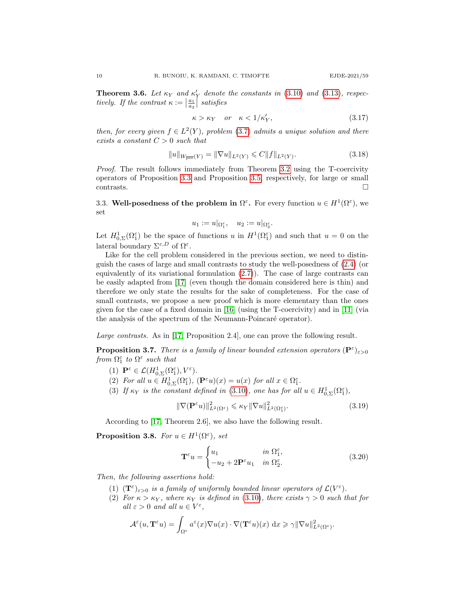**Theorem 3.6.** Let  $\kappa_Y$  and  $\kappa'_Y$  denote the constants in (3.10) and (3.13), respectively. If the contrast  $\kappa := \left| \frac{a_1}{a_2} \right|$  satisfies

$$
\kappa > \kappa_Y \quad or \quad \kappa < 1/\kappa'_Y,\tag{3.17}
$$

then, for every given  $f \in L^2(Y)$ , problem (3.7) admits a unique solution and there exists a constant  $C > 0$  such that

$$
||u||_{W_{\overline{\text{per}}}(Y)} = ||\nabla u||_{L^{2}(Y)} \leqslant C ||f||_{L^{2}(Y)}.
$$
\n(3.18)

Proof. The result follows immediately from Theorem 3.2 using the T-coercivity operators of Proposition 3.3 and Proposition 3.5, respectively, for large or small  $\Box$ contrasts.  $\Box$ 

3.3. Well-posedness of the problem in  $\Omega^{\varepsilon}$ . For every function  $u \in H^1(\Omega^{\varepsilon})$ , we set

$$
u_1 := u|_{\Omega_1^{\varepsilon}}, \quad u_2 := u|_{\Omega_2^{\varepsilon}}.
$$

Let  $H^1_{0,\Sigma}(\Omega_1^{\varepsilon})$  be the space of functions u in  $H^1(\Omega_1^{\varepsilon})$  and such that  $u=0$  on the lateral boundary  $\Sigma^{\varepsilon,D}$  of  $\Omega^{\varepsilon}$ .

Like for the cell problem considered in the previous section, we need to distinguish the cases of large and small contrasts to study the well-posedness of (2.4) (or equivalently of its variational formulation (2.7)). The case of large contrasts can be easily adapted from [17] (even though the domain considered here is thin) and therefore we only state the results for the sake of completeness. For the case of small contrasts, we propose a new proof which is more elementary than the ones given for the case of a fixed domain in [16] (using the T-coercivity) and in [11] (via the analysis of the spectrum of the Neumann-Poincaré operator).

Large contrasts. As in [17, Proposition 2.4], one can prove the following result.

**Proposition 3.7.** There is a family of linear bounded extension operators  $(\mathbf{P}^{\varepsilon})_{\varepsilon>0}$ from  $\Omega_1^{\varepsilon}$  to  $\Omega^{\varepsilon}$  such that

- (1)  $\mathbf{P}^{\varepsilon} \in \mathcal{L}(H^1_{0,\Sigma}(\Omega_1^{\varepsilon}),V^{\varepsilon}).$
- (2) For all  $u \in H^1_{0,\Sigma}(\Omega_1^{\varepsilon}),$   $(\mathbf{P}^{\varepsilon} u)(x) = u(x)$  for all  $x \in \Omega_1^{\varepsilon}$ .
- (3) If  $\kappa_Y$  is the constant defined in (3.10), one has for all  $u \in H^1_{0,\Sigma}(\Omega_1^{\varepsilon})$ ,

$$
\|\nabla(\mathbf{P}^{\varepsilon}u)\|_{L^{2}(\Omega^{\varepsilon})}^{2} \leqslant \kappa_{Y}\|\nabla u\|_{L^{2}(\Omega^{\varepsilon}_{1})}^{2}.
$$
\n(3.19)

According to [17, Theorem 2.6], we also have the following result.

**Proposition 3.8.** For  $u \in H^1(\Omega^{\varepsilon})$ , set

$$
\mathbf{T}^{\varepsilon}u = \begin{cases} u_1 & \text{in } \Omega_1^{\varepsilon}, \\ -u_2 + 2\mathbf{P}^{\varepsilon}u_1 & \text{in } \Omega_2^{\varepsilon}. \end{cases}
$$
(3.20)

Then, the following assertions hold:

- (1)  $(\mathbf{T}^{\varepsilon})_{\varepsilon>0}$  is a family of uniformly bounded linear operators of  $\mathcal{L}(V^{\varepsilon})$ .
- (2) For  $\kappa > \kappa_Y$ , where  $\kappa_Y$  is defined in (3.10), there exists  $\gamma > 0$  such that for all  $\varepsilon > 0$  and all  $u \in V^{\varepsilon}$ ,

$$
\mathcal{A}^{\varepsilon}(u, \mathbf{T}^{\varepsilon} u) = \int_{\Omega^{\varepsilon}} a^{\varepsilon}(x) \nabla u(x) \cdot \nabla(\mathbf{T}^{\varepsilon} u)(x) dx \geq \gamma \|\nabla u\|_{L^{2}(\Omega^{\varepsilon})}^{2}.
$$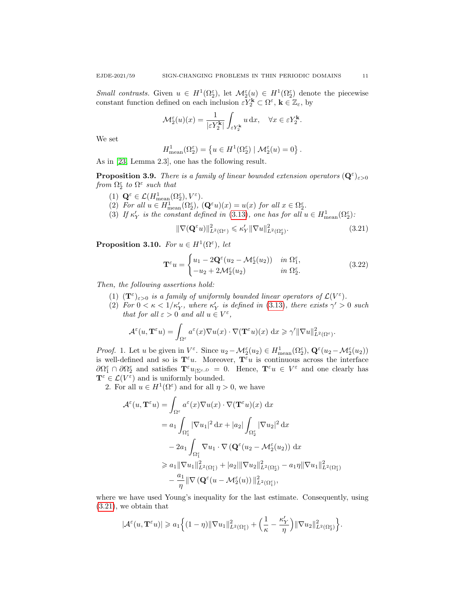Small contrasts. Given  $u \in H^1(\Omega_2^{\varepsilon})$ , let  $\mathcal{M}_2^{\varepsilon}(u) \in H^1(\Omega_2^{\varepsilon})$  denote the piecewise constant function defined on each inclusion  $\varepsilon Y_2^{\mathbf{k}} \subset \Omega^{\varepsilon}$ ,  $\mathbf{k} \in \mathbb{Z}_{\varepsilon}$ , by

$$
\mathcal{M}_2^{\varepsilon}(u)(x) = \frac{1}{|\varepsilon Y_2^{\mathbf{k}}|} \int_{\varepsilon Y_2^{\mathbf{k}}} u \, dx, \quad \forall x \in \varepsilon Y_2^{\mathbf{k}}.
$$

We set

$$
H_{\text{mean}}^1(\Omega_2^{\varepsilon}) = \left\{ u \in H^1(\Omega_2^{\varepsilon}) \mid \mathcal{M}_2^{\varepsilon}(u) = 0 \right\}.
$$

As in [23, Lemma 2.3], one has the following result.

**Proposition 3.9.** There is a family of linear bounded extension operators  $(\mathbf{Q}^{\varepsilon})_{\varepsilon>0}$ from  $\Omega_2^{\varepsilon}$  to  $\Omega^{\varepsilon}$  such that

- (1)  $\mathbf{Q}^{\varepsilon} \in \mathcal{L}(H_{\text{mean}}^1(\Omega_2^{\varepsilon}), V^{\varepsilon}).$
- (2) For all  $u \in H_{\text{mean}}^1(\Omega_2^{\varepsilon}), (\mathbf{Q}^{\varepsilon} u)(x) = u(x)$  for all  $x \in \Omega_2^{\varepsilon}$ .
- (3) If  $\kappa'_Y$  is the constant defined in (3.13), one has for all  $u \in H_{\text{mean}}^1(\Omega_2^{\varepsilon})$ :

$$
\|\nabla(\mathbf{Q}^{\varepsilon}u)\|_{L^{2}(\Omega^{\varepsilon})}^{2} \leqslant \kappa_{Y}'\|\nabla u\|_{L^{2}(\Omega^{\varepsilon}_{2})}^{2}.
$$
\n(3.21)

**Proposition 3.10.** For  $u \in H^1(\Omega^{\varepsilon})$ , let

$$
\mathbf{T}^{\varepsilon}u = \begin{cases} u_1 - 2\mathbf{Q}^{\varepsilon}(u_2 - \mathcal{M}_2^{\varepsilon}(u_2)) & \text{in } \Omega_1^{\varepsilon}, \\ -u_2 + 2\mathcal{M}_2^{\varepsilon}(u_2) & \text{in } \Omega_2^{\varepsilon}. \end{cases}
$$
(3.22)

Then, the following assertions hold:

- (1)  $(\mathbf{T}^{\varepsilon})_{\varepsilon>0}$  is a family of uniformly bounded linear operators of  $\mathcal{L}(V^{\varepsilon})$ .
- (2) For  $0 < \kappa < 1/\kappa'_Y$ , where  $\kappa'_Y$  is defined in (3.13), there exists  $\gamma' > 0$  such that for all  $\varepsilon > 0$  and all  $u \in V^{\varepsilon}$ ,

$$
\mathcal{A}^{\varepsilon}(u, \mathbf{T}^{\varepsilon} u) = \int_{\Omega^{\varepsilon}} a^{\varepsilon}(x) \nabla u(x) \cdot \nabla(\mathbf{T}^{\varepsilon} u)(x) dx \geq \gamma' \|\nabla u\|_{L^{2}(\Omega^{\varepsilon})}^{2}.
$$

*Proof.* 1. Let u be given in  $V^{\varepsilon}$ . Since  $u_2 - M_2^{\varepsilon}(u_2) \in H_{\text{mean}}^1(\Omega_2^{\varepsilon}), \mathbf{Q}^{\varepsilon}(u_2 - M_2^{\varepsilon}(u_2))$ is well-defined and so is  $\mathbf{T}^{\varepsilon}u$ . Moreover,  $\mathbf{T}^{\varepsilon}u$  is continuous across the interface  $\partial\Omega_1^{\varepsilon} \cap \partial\Omega_2^{\varepsilon}$  and satisfies  $\mathbf{T}^{\varepsilon}u_{|\Sigma^{\varepsilon},D} = 0$ . Hence,  $\mathbf{T}^{\varepsilon}u \in V^{\varepsilon}$  and one clearly has  $\mathbf{T}^{\varepsilon} \in \mathcal{L}(V^{\varepsilon})$  and is uniformly bounded.

2. For all  $u \in H^1(\Omega^{\varepsilon})$  and for all  $\eta > 0$ , we have

$$
\mathcal{A}^{\varepsilon}(u, \mathbf{T}^{\varepsilon} u) = \int_{\Omega^{\varepsilon}} a^{\varepsilon}(x) \nabla u(x) \cdot \nabla(\mathbf{T}^{\varepsilon} u)(x) dx
$$
  
\n
$$
= a_1 \int_{\Omega_1^{\varepsilon}} |\nabla u_1|^2 dx + |a_2| \int_{\Omega_2^{\varepsilon}} |\nabla u_2|^2 dx
$$
  
\n
$$
- 2a_1 \int_{\Omega_1^{\varepsilon}} \nabla u_1 \cdot \nabla (\mathbf{Q}^{\varepsilon}(u_2 - \mathcal{M}_2^{\varepsilon}(u_2)) dx
$$
  
\n
$$
\geq a_1 ||\nabla u_1||_{L^2(\Omega_1^{\varepsilon})}^2 + |a_2|||\nabla u_2||_{L^2(\Omega_2^{\varepsilon})}^2 - a_1 \eta ||\nabla u_1||_{L^2(\Omega_1^{\varepsilon})}^2
$$
  
\n
$$
- \frac{a_1}{\eta} ||\nabla (\mathbf{Q}^{\varepsilon}(u - \mathcal{M}_2^{\varepsilon}(u)) ||_{L^2(\Omega_1^{\varepsilon})}^2,
$$

where we have used Young's inequality for the last estimate. Consequently, using (3.21), we obtain that

$$
|\mathcal{A}^\varepsilon(u,\mathbf{T}^\varepsilon u)|\geqslant a_1\Big\{(1-\eta)\|\nabla u_1\|_{L^2(\Omega_1^\varepsilon)}^2+\Big(\frac{1}{\kappa}-\frac{\kappa_Y'}{\eta}\Big)\|\nabla u_2\|_{L^2(\Omega_2^\varepsilon)}^2\Big\}.
$$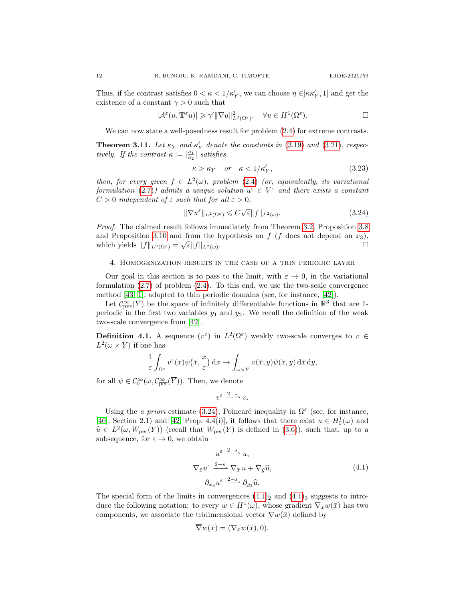Thus, if the contrast satisfies  $0 < \kappa < 1/\kappa'_Y$ , we can choose  $\eta \in ]\kappa \kappa'_Y, 1[$  and get the existence of a constant  $\gamma > 0$  such that

$$
|\mathcal{A}^{\varepsilon}(u, \mathbf{T}^{\varepsilon} u)| \geqslant \gamma' \|\nabla u\|_{L^{2}(\Omega^{\varepsilon})}^{2}, \quad \forall u \in H^{1}(\Omega^{\varepsilon}).
$$

We can now state a well-posedness result for problem  $(2.4)$  for extreme contrasts.

**Theorem 3.11.** Let  $\kappa_Y$  and  $\kappa'_Y$  denote the constants in (3.19) and (3.21), respectively. If the contrast  $\kappa := \left| \frac{a_1}{a_2} \right|$  satisfies

$$
\kappa > \kappa_Y \quad or \quad \kappa < 1/\kappa'_Y,\tag{3.23}
$$

then, for every given  $f \in L^2(\omega)$ , problem (2.4) (or, equivalently, its variational formulation (2.7)) admits a unique solution  $u^{\varepsilon} \in V^{\varepsilon}$  and there exists a constant  $C > 0$  independent of  $\varepsilon$  such that for all  $\varepsilon > 0$ ,

$$
\|\nabla u^{\varepsilon}\|_{L^{2}(\Omega^{\varepsilon})} \leqslant C\sqrt{\varepsilon} \|f\|_{L^{2}(\omega)}.
$$
\n(3.24)

Proof. The claimed result follows immediately from Theorem 3.2, Proposition 3.8 and Proposition 3.10 and from the hypothesis on  $f$  ( $f$  does not depend on  $x_3$ ), which yields  $||f||_{L^2(\Omega^{\varepsilon})} = \sqrt{\varepsilon} ||f||_{L^2(\omega)}$ .

## 4. Homogenization results in the case of a thin periodic layer

Our goal in this section is to pass to the limit, with  $\varepsilon \to 0$ , in the variational formulation  $(2.7)$  of problem  $(2.4)$ . To this end, we use the two-scale convergence method [43, 1], adapted to thin periodic domains (see, for instance, [42]).

Let  $\mathcal{C}^{\infty}_{\text{per}}(\overline{Y})$  be the space of infinitely differentiable functions in  $\mathbb{R}^3$  that are 1periodic in the first two variables  $y_1$  and  $y_2$ . We recall the definition of the weak two-scale convergence from [42].

**Definition 4.1.** A sequence  $(v^{\varepsilon})$  in  $L^2(\Omega^{\varepsilon})$  weakly two-scale converges to  $v \in$  $L^2(\omega \times Y)$  if one has

$$
\frac{1}{\varepsilon} \int_{\Omega^{\varepsilon}} v^{\varepsilon}(x) \psi(\bar{x}, \frac{x}{\varepsilon}) dx \to \int_{\omega \times Y} v(\bar{x}, y) \psi(\bar{x}, y) d\bar{x} dy,
$$

for all  $\psi \in \mathcal{C}_0^{\infty}(\omega, \mathcal{C}_{\overline{\text{per}}}^{\infty}(\overline{Y}))$ . Then, we denote

$$
v^{\varepsilon} \xrightarrow{2-s} v.
$$

Using the a priori estimate (3.24), Poincaré inequality in  $\Omega^{\varepsilon}$  (see, for instance, [40], Section 2.1) and [42, Prop. 4.4(i)], it follows that there exist  $u \in H_0^1(\omega)$  and  $\widehat{u} \in L^2(\omega, W_{\text{per}}(Y))$  (recall that  $W_{\overline{\text{per}}}(Y)$  is defined in  $(3.6)$ ), such that, up to a subsequence for  $\varepsilon \to 0$  we obtain subsequence, for  $\varepsilon \to 0$ , we obtain

$$
u^{\varepsilon} \xrightarrow{2-s} u,
$$
  
\n
$$
\nabla_{\bar{x}} u^{\varepsilon} \xrightarrow{2-s} \nabla_{\bar{x}} u + \nabla_{\bar{y}} \widehat{u},
$$
  
\n
$$
\partial_{x_3} u^{\varepsilon} \xrightarrow{2-s} \partial_{y_3} \widehat{u}.
$$
\n(4.1)

The special form of the limits in convergences  $(4.1)_2$  and  $(4.1)_3$  suggests to introduce the following notation: to every  $w \in H^1(\omega)$ , whose gradient  $\nabla_{\bar{x}}w(\bar{x})$  has two components, we associate the tridimensional vector  $\overline{\nabla}w(\bar{x})$  defined by

$$
\overline{\nabla}w(\bar{x}) = (\nabla_{\bar{x}}w(\bar{x}), 0).
$$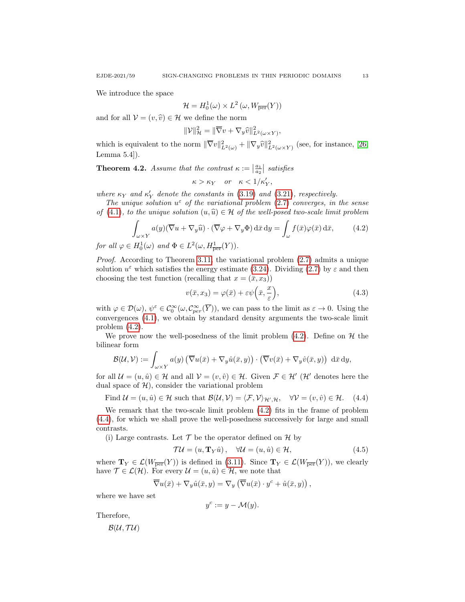We introduce the space

$$
\mathcal{H} = H_0^1(\omega) \times L^2(\omega, W_{\overline{\text{per}}}(Y))
$$

and for all  $V = (v, \hat{v}) \in \mathcal{H}$  we define the norm

$$
\|\mathcal{V}\|_{\mathcal{H}}^2 = \|\overline{\nabla}v + \nabla_y \widehat{v}\|_{L^2(\omega \times Y)}^2,
$$

which is equivalent to the norm  $\|\nabla v\|_{L^2(\omega)}^2 + \|\nabla_y \hat{v}\|_{L^2(\omega \times Y)}^2$  (see, for instance, [26, Lemma 5.4]).

**Theorem 4.2.** Assume that the contrast  $\kappa := \left| \frac{a_1}{a_2} \right|$  satisfies

$$
\kappa > \kappa_Y \quad or \quad \kappa < 1/\kappa'_Y,
$$

where  $\kappa_Y$  and  $\kappa'_Y$  denote the constants in (3.19) and (3.21), respectively.

The unique solution  $u^{\varepsilon}$  of the variational problem (2.7) converges, in the sense of (4.1), to the unique solution  $(u, \hat{u}) \in \mathcal{H}$  of the well-posed two-scale limit problem

$$
\int_{\omega \times Y} a(y) (\overline{\nabla} u + \nabla_y \widehat{u}) \cdot (\overline{\nabla} \varphi + \nabla_y \Phi) d\bar{x} dy = \int_{\omega} f(\bar{x}) \varphi(\bar{x}) d\bar{x}, \qquad (4.2)
$$

for all  $\varphi \in H_0^1(\omega)$  and  $\Phi \in L^2(\omega, H^1_{\overline{\text{per}}}(Y)).$ 

Proof. According to Theorem 3.11, the variational problem (2.7) admits a unique solution  $u^{\varepsilon}$  which satisfies the energy estimate (3.24). Dividing (2.7) by  $\varepsilon$  and then choosing the test function (recalling that  $x = (\bar{x}, x_3)$ )

$$
v(\bar{x}, x_3) = \varphi(\bar{x}) + \varepsilon \psi\left(\bar{x}, \frac{x}{\varepsilon}\right),\tag{4.3}
$$

with  $\varphi \in \mathcal{D}(\omega)$ ,  $\psi^{\varepsilon} \in \mathcal{C}_0^{\infty}(\omega, \mathcal{C}_{per}^{\infty}(\overline{Y}))$ , we can pass to the limit as  $\varepsilon \to 0$ . Using the convergences (4.1), we obtain by standard density arguments the two-scale limit problem (4.2).

We prove now the well-posedness of the limit problem  $(4.2)$ . Define on  $H$  the bilinear form

$$
\mathcal{B}(\mathcal{U}, \mathcal{V}) := \int_{\omega \times Y} a(y) \left( \overline{\nabla} u(\bar{x}) + \nabla_y \hat{u}(\bar{x}, y) \right) \cdot \left( \overline{\nabla} v(\bar{x}) + \nabla_y \hat{v}(\bar{x}, y) \right) d\bar{x} dy,
$$

for all  $\mathcal{U} = (u, \hat{u}) \in \mathcal{H}$  and all  $\mathcal{V} = (v, \hat{v}) \in \mathcal{H}$ . Given  $\mathcal{F} \in \mathcal{H}'$  ( $\mathcal{H}'$  denotes here the dual space of  $H$ ), consider the variational problem

Find 
$$
\mathcal{U} = (u, \hat{u}) \in \mathcal{H}
$$
 such that  $\mathcal{B}(\mathcal{U}, \mathcal{V}) = \langle \mathcal{F}, \mathcal{V} \rangle_{\mathcal{H}', \mathcal{H}}, \quad \forall \mathcal{V} = (v, \hat{v}) \in \mathcal{H}.$  (4.4)

We remark that the two-scale limit problem (4.2) fits in the frame of problem (4.4), for which we shall prove the well-posedness successively for large and small contrasts.

(i) Large contrasts. Let  $\mathcal T$  be the operator defined on  $\mathcal H$  by

$$
\mathcal{TU} = (u, \mathbf{T}_Y \hat{u}), \quad \forall \mathcal{U} = (u, \hat{u}) \in \mathcal{H}, \tag{4.5}
$$

where  $\mathbf{T}_Y \in \mathcal{L}(W_{\overline{\text{per}}}(Y))$  is defined in (3.11). Since  $\mathbf{T}_Y \in \mathcal{L}(W_{\overline{\text{per}}}(Y))$ , we clearly have  $\mathcal{T} \in \mathcal{L}(\mathcal{H})$ . For every  $\mathcal{U} = (u, \hat{u}) \in \mathcal{H}$ , we note that

$$
\overline{\nabla}u(\bar{x}) + \nabla_y\hat{u}(\bar{x}, y) = \nabla_y(\overline{\nabla}u(\bar{x}) \cdot y^c + \hat{u}(\bar{x}, y)),
$$

where we have set

$$
y^c := y - \mathcal{M}(y).
$$

Therefore,

 $B(U, T U)$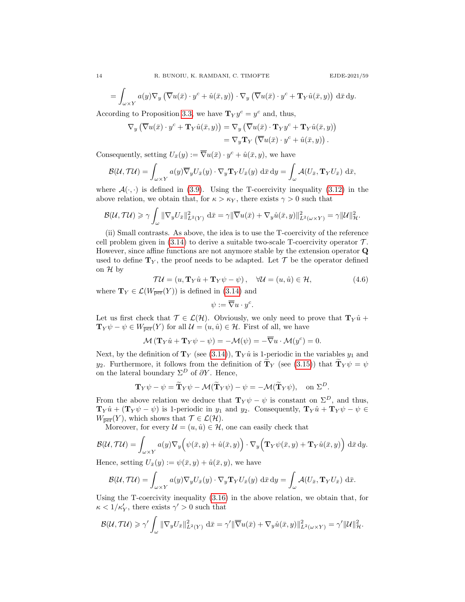$$
E\mathrm{JDE}\text{-}2021/59
$$

$$
= \int_{\omega \times Y} a(y) \nabla_y \left( \overline{\nabla} u(\bar{x}) \cdot y^c + \hat{u}(\bar{x}, y) \right) \cdot \nabla_y \left( \overline{\nabla} u(\bar{x}) \cdot y^c + \mathbf{T}_Y \hat{u}(\bar{x}, y) \right) d\bar{x} dy.
$$

According to Proposition 3.3, we have  $T_Y y^c = y^c$  and, thus,

$$
\nabla_y \left( \overline{\nabla} u(\bar{x}) \cdot y^c + \mathbf{T}_Y \hat{u}(\bar{x}, y) \right) = \nabla_y \left( \overline{\nabla} u(\bar{x}) \cdot \mathbf{T}_Y y^c + \mathbf{T}_Y \hat{u}(\bar{x}, y) \right) \n= \nabla_y \mathbf{T}_Y \left( \overline{\nabla} u(\bar{x}) \cdot y^c + \hat{u}(\bar{x}, y) \right).
$$

Consequently, setting  $U_{\bar{x}}(y) := \overline{\nabla}u(\bar{x}) \cdot y^c + \hat{u}(\bar{x}, y)$ , we have

$$
\mathcal{B}(\mathcal{U},\mathcal{T}\mathcal{U})=\int_{\omega\times Y}a(y)\overline{\nabla}_yU_{\bar{x}}(y)\cdot\nabla_y\mathbf{T}_YU_{\bar{x}}(y)\,\mathrm{d}\bar{x}\,\mathrm{d}y=\int_{\omega}\mathcal{A}(U_{\bar{x}},\mathbf{T}_YU_{\bar{x}})\,\mathrm{d}\bar{x},
$$

where  $\mathcal{A}(\cdot, \cdot)$  is defined in (3.9). Using the T-coercivity inequality (3.12) in the above relation, we obtain that, for  $\kappa > \kappa_Y$ , there exists  $\gamma > 0$  such that

$$
\mathcal{B}(\mathcal{U},\mathcal{T}\mathcal{U}) \geqslant \gamma \int_{\omega} \|\nabla_y U_{\bar{x}}\|_{L^2(Y)}^2 \, \mathrm{d}\bar{x} = \gamma \|\overline{\nabla}u(\bar{x}) + \nabla_y \hat{u}(\bar{x},y)\|_{L^2(\omega \times Y)}^2 = \gamma \|\mathcal{U}\|_{\mathcal{H}}^2.
$$

(ii) Small contrasts. As above, the idea is to use the T-coercivity of the reference cell problem given in  $(3.14)$  to derive a suitable two-scale T-coercivity operator  $\mathcal{T}$ . However, since affine functions are not anymore stable by the extension operator Q used to define  $\mathbf{T}_Y$ , the proof needs to be adapted. Let  $\mathcal T$  be the operator defined on  $\mathcal H$  by

$$
\mathcal{TU} = (u, \mathbf{T}_Y \hat{u} + \mathbf{T}_Y \psi - \psi), \quad \forall \mathcal{U} = (u, \hat{u}) \in \mathcal{H}, \tag{4.6}
$$

where  $\mathbf{T}_Y \in \mathcal{L}(W_{\overline{\text{per}}}(Y))$  is defined in (3.14) and

$$
\psi := \overline{\nabla} u \cdot y^c.
$$

Let us first check that  $\mathcal{T} \in \mathcal{L}(\mathcal{H})$ . Obviously, we only need to prove that  $\mathbf{T}_Y \hat{u}$  +  $\mathbf{T}_Y \psi - \psi \in W_{\overline{\text{per}}}(Y)$  for all  $\mathcal{U} = (u, \hat{u}) \in \mathcal{H}$ . First of all, we have

$$
\mathcal{M}(\mathbf{T}_{Y}\hat{u} + \mathbf{T}_{Y}\psi - \psi) = -\mathcal{M}(\psi) = -\overline{\nabla}u \cdot \mathcal{M}(y^{c}) = 0.
$$

Next, by the definition of  $T_Y$  (see (3.14)),  $T_Y\hat{u}$  is 1-periodic in the variables  $y_1$  and y<sub>2</sub>. Furthermore, it follows from the definition of  $\widetilde{\mathbf{T}}_Y$  (see (3.15)) that  $\widetilde{\mathbf{T}}_Y \psi = \psi$ on the lateral boundary  $\Sigma^D$  of  $\partial Y$ . Hence,

$$
\mathbf{T}_{Y}\psi - \psi = \widetilde{\mathbf{T}}_{Y}\psi - \mathcal{M}(\widetilde{\mathbf{T}}_{Y}\psi) - \psi = -\mathcal{M}(\widetilde{\mathbf{T}}_{Y}\psi), \text{ on } \Sigma^{D}.
$$

From the above relation we deduce that  $\mathbf{T}_{Y}\psi - \psi$  is constant on  $\Sigma^{D}$ , and thus,  $\mathbf{T}_Y\hat{u} + (\mathbf{T}_Y\psi - \psi)$  is 1-periodic in  $y_1$  and  $y_2$ . Consequently,  $\mathbf{T}_Y\hat{u} + \mathbf{T}_Y\psi - \psi \in$  $W_{\overline{\text{per}}}(Y)$ , which shows that  $\mathcal{T} \in \mathcal{L}(\mathcal{H})$ .

Moreover, for every  $\mathcal{U} = (u, \hat{u}) \in \mathcal{H}$ , one can easily check that

$$
\mathcal{B}(\mathcal{U},\mathcal{T}\mathcal{U}) = \int_{\omega \times Y} a(y) \nabla_y \Big( \psi(\bar{x},y) + \hat{u}(\bar{x},y) \Big) \cdot \nabla_y \Big( \mathbf{T}_Y \psi(\bar{x},y) + \mathbf{T}_Y \hat{u}(\bar{x},y) \Big) d\bar{x} dy.
$$

Hence, setting  $U_{\bar{x}}(y) := \psi(\bar{x}, y) + \hat{u}(\bar{x}, y)$ , we have

$$
\mathcal{B}(\mathcal{U},\mathcal{T}\mathcal{U})=\int_{\omega\times Y}a(y)\nabla_yU_{\bar{x}}(y)\cdot\nabla_y\mathbf{T}_YU_{\bar{x}}(y)\,\mathrm{d}\bar{x}\,\mathrm{d}y=\int_{\omega}\mathcal{A}(U_{\bar{x}},\mathbf{T}_YU_{\bar{x}})\,\mathrm{d}\bar{x}.
$$

Using the T-coercivity inequality (3.16) in the above relation, we obtain that, for  $\kappa < 1/\kappa_Y',$  there exists  $\gamma' > 0$  such that

$$
\mathcal{B}(\mathcal{U},\mathcal{T}\mathcal{U}) \geqslant \gamma' \int_{\omega} \|\nabla_y U_{\bar{x}}\|_{L^2(Y)}^2 \, \mathrm{d}\bar{x} = \gamma' \|\overline{\nabla} u(\bar{x}) + \nabla_y \hat{u}(\bar{x},y)\|_{L^2(\omega \times Y)}^2 = \gamma' \|\mathcal{U}\|_{\mathcal{H}}^2.
$$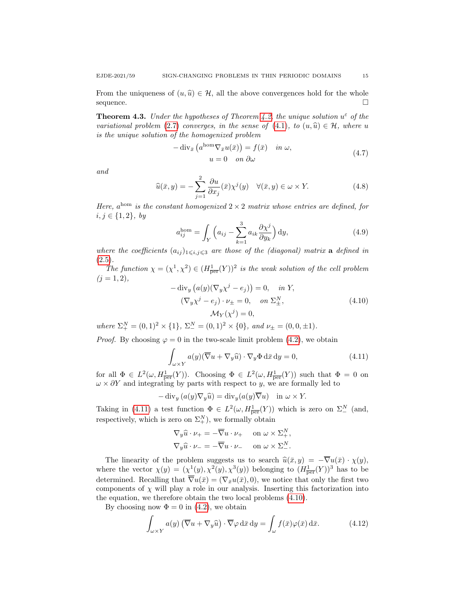From the uniqueness of  $(u, \hat{u}) \in \mathcal{H}$ , all the above convergences hold for the whole sequence. sequence.

**Theorem 4.3.** Under the hypotheses of Theorem 4.2, the unique solution  $u^{\epsilon}$  of the variational problem (2.7) converges, in the sense of (4.1), to  $(u, \hat{u}) \in \mathcal{H}$ , where u is the unique solution of the homogenized problem

$$
-\operatorname{div}_{\bar{x}}\left(a^{\text{hom}}\nabla_{\bar{x}}u(\bar{x})\right) = f(\bar{x}) \quad \text{in } \omega,
$$
  

$$
u = 0 \quad \text{on } \partial\omega
$$
 (4.7)

and

$$
\widehat{u}(\bar{x}, y) = -\sum_{j=1}^{2} \frac{\partial u}{\partial x_j}(\bar{x}) \chi^j(y) \quad \forall (\bar{x}, y) \in \omega \times Y.
$$
\n(4.8)

Here,  $a^{\text{hom}}$  is the constant homogenized  $2 \times 2$  matrix whose entries are defined, for  $i, j \in \{1, 2\}, \; by$ 

$$
a_{ij}^{\text{hom}} = \int_{Y} \left( a_{ij} - \sum_{k=1}^{3} a_{ik} \frac{\partial \chi^{j}}{\partial y_{k}} \right) dy, \tag{4.9}
$$

where the coefficients  $(a_{ij})_{1\leq i,j\leq 3}$  are those of the (diagonal) matrix **a** defined in  $(2.5).$ 

The function  $\chi = (\chi^1, \chi^2) \in (H^1_{\text{per}}(Y))^2$  is the weak solution of the cell problem  $(j = 1, 2),$ 

$$
-\operatorname{div}_{y} (a(y)(\nabla_{y}\chi^{j} - e_{j})) = 0, \quad in \ Y,
$$
  

$$
(\nabla_{y}\chi^{j} - e_{j}) \cdot \nu_{\pm} = 0, \quad on \ \Sigma_{\pm}^{N},
$$
  

$$
\mathcal{M}_{Y}(\chi^{j}) = 0,
$$
 (4.10)

where  $\Sigma_{+}^{N} = (0,1)^{2} \times \{1\}, \ \Sigma_{-}^{N} = (0,1)^{2} \times \{0\}, \ and \ \nu_{\pm} = (0,0,\pm 1).$ 

*Proof.* By choosing  $\varphi = 0$  in the two-scale limit problem (4.2), we obtain

$$
\int_{\omega \times Y} a(y) (\overline{\nabla} u + \nabla_y \widehat{u}) \cdot \nabla_y \Phi \, d\overline{x} \, dy = 0,
$$
\n(4.11)

for all  $\Phi \in L^2(\omega, H^1_{\overline{\text{per}}}(Y))$ . Choosing  $\Phi \in L^2(\omega, H^1_{\overline{\text{per}}}(Y))$  such that  $\Phi = 0$  on  $\omega \times \partial Y$  and integrating by parts with respect to y, we are formally led to

$$
-\operatorname{div}_y (a(y)\nabla_y \widehat{u}) = \operatorname{div}_y (a(y)\overline{\nabla}u) \quad \text{in } \omega \times Y.
$$

Taking in (4.11) a test function  $\Phi \in L^2(\omega, H^1_{\text{per}}(Y))$  which is zero on  $\Sigma^N_-$  (and, respectively, which is zero on  $\Sigma_{+}^{N}$ ), we formally obtain

$$
\nabla_y \widehat{u} \cdot \nu_+ = -\overline{\nabla} u \cdot \nu_+ \quad \text{on } \omega \times \Sigma_+^N,
$$
  

$$
\nabla_y \widehat{u} \cdot \nu_- = -\overline{\nabla} u \cdot \nu_- \quad \text{on } \omega \times \Sigma_-^N.
$$

The linearity of the problem suggests us to search  $\hat{u}(\bar{x}, y) = -\overline{\nabla}u(\bar{x}) \cdot \chi(y)$ ,<br>where the vector  $\chi(y) = (\chi^1(y), \chi^2(y), \chi^3(y))$  belonging to  $(H_{\overline{\text{per}}}(Y))^3$  has to be determined. Recalling that  $\overline{\nabla}u(\overline{x}) = (\nabla_{\overline{x}}u(\overline{x}), 0)$ , we notice that only the first two components of  $\chi$  will play a role in our analysis. Inserting this factorization into the equation, we therefore obtain the two local problems (4.10).

By choosing now  $\Phi = 0$  in (4.2), we obtain

$$
\int_{\omega \times Y} a(y) \left( \overline{\nabla} u + \nabla_y \widehat{u} \right) \cdot \overline{\nabla} \varphi \, \mathrm{d}\bar{x} \, \mathrm{d}y = \int_{\omega} f(\bar{x}) \varphi(\bar{x}) \, \mathrm{d}\bar{x}.
$$
 (4.12)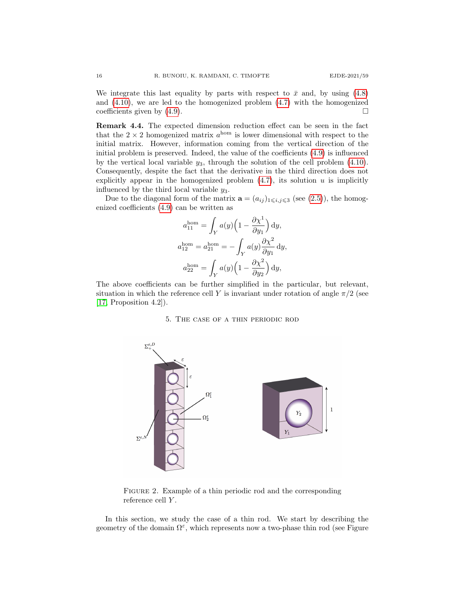We integrate this last equality by parts with respect to  $\bar{x}$  and, by using (4.8) and  $(4.10)$ , we are led to the homogenized problem  $(4.7)$  with the homogenized coefficients given by  $(4.9)$ .

Remark 4.4. The expected dimension reduction effect can be seen in the fact that the  $2 \times 2$  homogenized matrix  $a^{\text{hom}}$  is lower dimensional with respect to the initial matrix. However, information coming from the vertical direction of the initial problem is preserved. Indeed, the value of the coefficients (4.9) is influenced by the vertical local variable  $y_3$ , through the solution of the cell problem  $(4.10)$ . Consequently, despite the fact that the derivative in the third direction does not explicitly appear in the homogenized problem  $(4.7)$ , its solution u is implicitly influenced by the third local variable  $y_3$ .

Due to the diagonal form of the matrix  $\mathbf{a} = (a_{ij})_{1 \leq i,j \leq 3}$  (see (2.5)), the homogenized coefficients (4.9) can be written as

$$
a_{11}^{\text{hom}} = \int_{Y} a(y) \left(1 - \frac{\partial \chi^{1}}{\partial y_{1}}\right) dy,
$$
  
\n
$$
a_{12}^{\text{hom}} = a_{21}^{\text{hom}} = -\int_{Y} a(y) \frac{\partial \chi^{2}}{\partial y_{1}} dy,
$$
  
\n
$$
a_{22}^{\text{hom}} = \int_{Y} a(y) \left(1 - \frac{\partial \chi^{2}}{\partial y_{2}}\right) dy,
$$

The above coefficients can be further simplified in the particular, but relevant, situation in which the reference cell Y is invariant under rotation of angle  $\pi/2$  (see [17, Proposition 4.2]).

### 5. The case of a thin periodic rod



FIGURE 2. Example of a thin periodic rod and the corresponding reference cell Y .

In this section, we study the case of a thin rod. We start by describing the geometry of the domain  $\Omega^{\varepsilon}$ , which represents now a two-phase thin rod (see Figure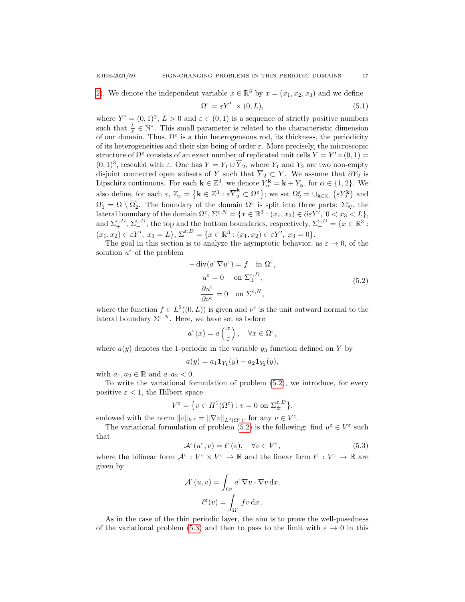$$
\Omega^{\varepsilon} = \varepsilon Y' \times (0, L),\tag{5.1}
$$

where  $Y' = (0, 1)^2$ ,  $L > 0$  and  $\varepsilon \in (0, 1)$  is a sequence of strictly positive numbers such that  $\frac{L}{\varepsilon} \in \mathbb{N}^*$ . This small parameter is related to the characteristic dimension of our domain. Thus,  $\Omega^{\varepsilon}$  is a thin heterogeneous rod, its thickness, the periodicity of its heterogeneities and their size being of order  $\varepsilon$ . More precisely, the microscopic structure of  $\Omega^{\varepsilon}$  consists of an exact number of replicated unit cells  $Y = Y' \times (0, 1) =$  $(0, 1)^3$ , rescaled with  $\varepsilon$ . One has  $Y = Y_1 \cup \overline{Y}_2$ , where  $Y_1$  and  $Y_2$  are two non-empty disjoint connected open subsets of Y such that  $\overline{Y}_2 \subset Y$ . We assume that  $\partial Y_2$  is Lipschitz continuous. For each  $\mathbf{k} \in \mathbb{Z}^3$ , we denote  $Y_\alpha^{\mathbf{k}} = \mathbf{k} + Y_\alpha$ , for  $\alpha \in \{1, 2\}$ . We also define, for each  $\varepsilon$ ,  $\mathbb{Z}_{\varepsilon} = \{ \mathbf{k} \in \mathbb{Z}^3 : \varepsilon \overline{Y}_2^{\mathbf{k}} \subset \Omega^{\varepsilon} \}$ ; we set  $\Omega_2^{\varepsilon} = \cup_{\mathbf{k} \in \mathbb{Z}_{\varepsilon}} (\varepsilon Y_2^{\mathbf{k}})$  and  $\Omega_1^\varepsilon = \Omega \setminus \overline{\Omega}_2^\varepsilon$  $\frac{ε}{2}$ . The boundary of the domain  $\Omega^ε$  is split into three parts:  $\Sigma^ε_N$ , the lateral boundary of the domain  $\Omega^{\varepsilon}$ ,  $\Sigma^{\varepsilon,N} = \{x \in \mathbb{R}^3 : (x_1, x_2) \in \partial \varepsilon Y', 0 < x_3 < L\},\$ and  $\Sigma^{\varepsilon, D}_+$ ,  $\Sigma^{\varepsilon, D}_-$ , the top and the bottom boundaries, respectively,  $\Sigma^{\varepsilon, D}_+ = \{x \in \mathbb{R}^3 :$  $(x_1, x_2) \in \varepsilon Y', x_3 = L, \ \Sigma^{\varepsilon, D}_- = \{ x \in \mathbb{R}^3 : (x_1, x_2) \in \varepsilon Y', x_3 = 0 \}.$ 

The goal in this section is to analyze the asymptotic behavior, as  $\varepsilon \to 0$ , of the solution  $u^{\varepsilon}$  of the problem

$$
-\operatorname{div}(a^{\varepsilon} \nabla u^{\varepsilon}) = f \quad \text{in } \Omega^{\varepsilon},
$$

$$
u^{\varepsilon} = 0 \quad \text{on } \Sigma_{\pm}^{\varepsilon, D},
$$

$$
\frac{\partial u^{\varepsilon}}{\partial \nu^{\varepsilon}} = 0 \quad \text{on } \Sigma^{\varepsilon, N},
$$

$$
(5.2)
$$

where the function  $f \in L^2((0,L))$  is given and  $\nu^{\varepsilon}$  is the unit outward normal to the lateral boundary  $\Sigma^{\varepsilon,N}$ . Here, we have set as before

$$
a^{\varepsilon}(x) = a\left(\frac{x}{\varepsilon}\right), \quad \forall x \in \Omega^{\varepsilon},
$$

where  $a(y)$  denotes the 1-periodic in the variable  $y_3$  function defined on Y by

$$
a(y) = a_1 \mathbf{1}_{Y_1}(y) + a_2 \mathbf{1}_{Y_2}(y),
$$

with  $a_1, a_2 \in \mathbb{R}$  and  $a_1 a_2 < 0$ .

To write the variational formulation of problem (5.2), we introduce, for every positive  $\varepsilon < 1$ , the Hilbert space

$$
V^{\varepsilon} = \{ v \in H^1(\Omega^{\varepsilon}) : v = 0 \text{ on } \Sigma^{\varepsilon, D}_{\pm} \},
$$

endowed with the norm  $||v||_{V^{\varepsilon}} = ||\nabla v||_{L^2(\Omega^{\varepsilon})}$ , for any  $v \in V^{\varepsilon}$ .

The variational formulation of problem (5.2) is the following: find  $u^{\varepsilon} \in V^{\varepsilon}$  such that

$$
\mathcal{A}^{\varepsilon}(u^{\varepsilon}, v) = \ell^{\varepsilon}(v), \quad \forall v \in V^{\varepsilon}, \tag{5.3}
$$

where the bilinear form  $\mathcal{A}^{\varepsilon}: V^{\varepsilon} \times V^{\varepsilon} \to \mathbb{R}$  and the linear form  $\ell^{\varepsilon}: V^{\varepsilon} \to \mathbb{R}$  are given by

$$
\mathcal{A}^{\varepsilon}(u,v) = \int_{\Omega^{\varepsilon}} a^{\varepsilon} \nabla u \cdot \nabla v \,dx,
$$

$$
\ell^{\varepsilon}(v) = \int_{\Omega^{\varepsilon}} f v \,dx.
$$

As in the case of the thin periodic layer, the aim is to prove the well-posedness of the variational problem (5.3) and then to pass to the limit with  $\varepsilon \to 0$  in this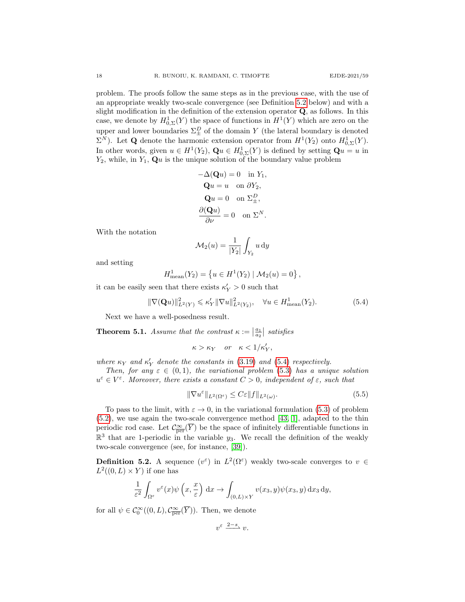problem. The proofs follow the same steps as in the previous case, with the use of an appropriate weakly two-scale convergence (see Definition 5.2 below) and with a slight modification in the definition of the extension operator  $Q$ , as follows. In this case, we denote by  $H^1_{0,\Sigma}(Y)$  the space of functions in  $H^1(Y)$  which are zero on the upper and lower boundaries  $\Sigma_{\pm}^D$  of the domain Y (the lateral boundary is denoted  $\Sigma^N$ ). Let **Q** denote the harmonic extension operator from  $H^1(Y_2)$  onto  $H^1_{0,\Sigma}(Y)$ . In other words, given  $u \in H^1(Y_2)$ ,  $\mathbf{Q} u \in H^1_{0,\Sigma}(Y)$  is defined by setting  $\mathbf{Q} u = u$  in  $Y_2$ , while, in  $Y_1$ ,  $\mathbf{Q}u$  is the unique solution of the boundary value problem

$$
-\Delta(\mathbf{Q}u) = 0 \text{ in } Y_1,
$$
  
\n
$$
\mathbf{Q}u = u \text{ on } \partial Y_2,
$$
  
\n
$$
\mathbf{Q}u = 0 \text{ on } \Sigma_{\pm}^D,
$$
  
\n
$$
\frac{\partial(\mathbf{Q}u)}{\partial\nu} = 0 \text{ on } \Sigma^N.
$$

With the notation

$$
\mathcal{M}_2(u) = \frac{1}{|Y_2|} \int_{Y_2} u \, \mathrm{d}y
$$

and setting

$$
H_{\text{mean}}^1(Y_2) = \{ u \in H^1(Y_2) \mid \mathcal{M}_2(u) = 0 \}
$$

it can be easily seen that there exists  $\kappa_Y' > 0$  such that

$$
\|\nabla(\mathbf{Q}u)\|_{L^2(Y)}^2 \leq \kappa_Y' \|\nabla u\|_{L^2(Y_2)}^2, \quad \forall u \in H_{\text{mean}}^1(Y_2). \tag{5.4}
$$

Next we have a well-posedness result.

**Theorem 5.1.** Assume that the contrast  $\kappa := \left|\frac{a_1}{a_2}\right|$  satisfies

$$
\kappa > \kappa_Y \quad or \quad \kappa < 1/\kappa'_Y,
$$

where  $\kappa_Y$  and  $\kappa'_Y$  denote the constants in (3.19) and (5.4) respectively.

Then, for any  $\varepsilon \in (0,1)$ , the variational problem (5.3) has a unique solution  $u^{\varepsilon} \in V^{\varepsilon}$ . Moreover, there exists a constant  $C > 0$ , independent of  $\varepsilon$ , such that

$$
\|\nabla u^{\varepsilon}\|_{L^{2}(\Omega^{\varepsilon})} \leq C\varepsilon \|f\|_{L^{2}(\omega)}.
$$
\n(5.5)

,

To pass to the limit, with  $\varepsilon \to 0$ , in the variational formulation (5.3) of problem (5.2), we use again the two-scale convergence method [43, 1], adapted to the thin periodic rod case. Let  $\mathcal{C}^{\infty}_{\overline{per}}(\overline{Y})$  be the space of infinitely differentiable functions in  $\mathbb{R}^3$  that are 1-periodic in the variable y<sub>3</sub>. We recall the definition of the weakly two-scale convergence (see, for instance, [39]).

**Definition 5.2.** A sequence  $(v^{\varepsilon})$  in  $L^2(\Omega^{\varepsilon})$  weakly two-scale converges to  $v \in$  $L^2((0,L)\times Y)$  if one has

$$
\frac{1}{\varepsilon^2} \int_{\Omega^{\varepsilon}} v^{\varepsilon}(x) \psi\left(x, \frac{x}{\varepsilon}\right) dx \to \int_{(0,L)\times Y} v(x_3, y) \psi(x_3, y) dx_3 dy,
$$

for all  $\psi \in C_0^{\infty}((0,L), \mathcal{C}_{\overline{\text{per}}}^{\infty}(\overline{Y}))$ . Then, we denote

$$
v^{\varepsilon} \xrightarrow{2-s} v.
$$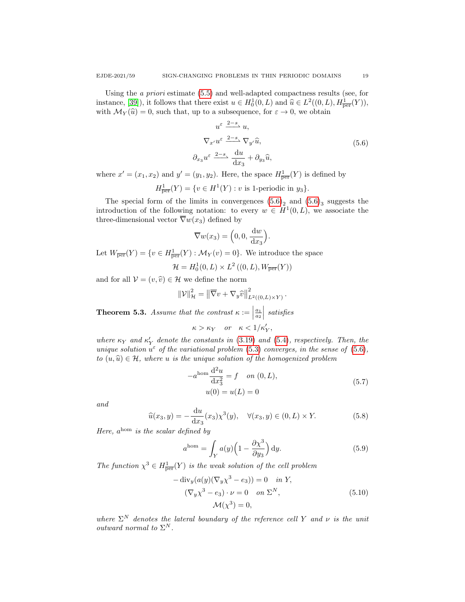Using the a priori estimate (5.5) and well-adapted compactness results (see, for instance, [39]), it follows that there exist  $u \in H_0^1(0, L)$  and  $\hat{u} \in L^2((0, L), H_{\text{per}}^1(Y)),$ <br>with  $M_0(\hat{u}) = 0$  such that yn to a subsequence for  $\hat{u} \geq 0$  we obtain with  $\mathcal{M}_Y(\hat{u}) = 0$ , such that, up to a subsequence, for  $\varepsilon \to 0$ , we obtain

$$
u^{\varepsilon} \frac{2-s}{s} u,
$$
  
\n
$$
\nabla_{x'} u^{\varepsilon} \frac{2-s}{s} \nabla_{y'} \widehat{u},
$$
  
\n
$$
\partial_{x_3} u^{\varepsilon} \frac{2-s}{s} \frac{du}{dx_3} + \partial_{y_3} \widehat{u},
$$
\n(5.6)

where  $x' = (x_1, x_2)$  and  $y' = (y_1, y_2)$ . Here, the space  $H^1_{\text{per}}(Y)$  is defined by

 $H^1_{\overline{\text{per}}}(Y) = \{ v \in H^1(Y) : v \text{ is 1-periodic in } y_3 \}.$ 

The special form of the limits in convergences  $(5.6)<sub>2</sub>$  and  $(5.6)<sub>3</sub>$  suggests the introduction of the following notation: to every  $w \in H^1(0,L)$ , we associate the three-dimensional vector  $\overline{\nabla}w(x_3)$  defined by

$$
\overline{\nabla}w(x_3) = \left(0, 0, \frac{\mathrm{d}w}{\mathrm{d}x_3}\right).
$$

Let  $W_{\overline{\text{per}}}(Y) = \{v \in H^1_{\overline{\text{per}}}(Y) : \mathcal{M}_Y(v) = 0\}$ . We introduce the space

$$
\mathcal{H} = H_0^1(0, L) \times L^2((0, L), W_{\overline{\text{per}}}(Y))
$$

and for all  $V = (v, \hat{v}) \in \mathcal{H}$  we define the norm

$$
\|\mathcal{V}\|_{\mathcal{H}}^2 = \left\|\overline{\nabla}v + \nabla_y\widehat{v}\right\|_{L^2((0,L)\times Y)}^2.
$$

**Theorem 5.3.** Assume that the contrast  $\kappa :=$  $\frac{a_1}{a_2}$  satisfies  $\kappa > \kappa_Y$  or  $\kappa < 1/\kappa'_Y$ ,

where  $\kappa_Y$  and  $\kappa'_Y$  denote the constants in (3.19) and (5.4), respectively. Then, the unique solution  $u^{\varepsilon}$  of the variational problem (5.3) converges, in the sense of (5.6), to  $(u, \hat{u}) \in \mathcal{H}$ , where u is the unique solution of the homogenized problem

$$
-a^{\text{hom}}\frac{\mathrm{d}^2 u}{\mathrm{d}x_3^2} = f \quad on \ (0, L),
$$
  

$$
u(0) = u(L) = 0
$$
 (5.7)

and

$$
\widehat{u}(x_3, y) = -\frac{du}{dx_3}(x_3)\chi^3(y), \quad \forall (x_3, y) \in (0, L) \times Y.
$$
 (5.8)

Here,  $a^{\text{hom}}$  is the scalar defined by

$$
a^{\text{hom}} = \int_{Y} a(y) \left( 1 - \frac{\partial \chi^3}{\partial y_3} \right) dy.
$$
 (5.9)

The function  $\chi^3 \in H^1_{\overline{per}}(Y)$  is the weak solution of the cell problem

$$
-\operatorname{div}_y(a(y)(\nabla_y \chi^3 - e_3)) = 0 \quad \text{in } Y,
$$
  

$$
(\nabla_y \chi^3 - e_3) \cdot \nu = 0 \quad \text{on } \Sigma^N,
$$
  

$$
\mathcal{M}(\chi^3) = 0,
$$
 (5.10)

where  $\Sigma^N$  denotes the lateral boundary of the reference cell Y and  $\nu$  is the unit outward normal to  $\Sigma^N$ .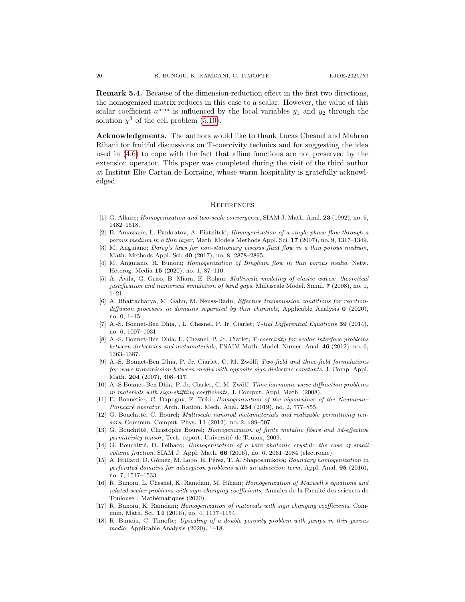Remark 5.4. Because of the dimension-reduction effect in the first two directions, the homogenized matrix reduces in this case to a scalar. However, the value of this scalar coefficient  $a^{\text{hom}}$  is influenced by the local variables  $y_1$  and  $y_2$  through the solution  $\chi^3$  of the cell problem (5.10).

Acknowledgments. The authors would like to thank Lucas Chesnel and Mahran Rihani for fruitful discussions on T-coercivity technics and for suggesting the idea used in (4.6) to cope with the fact that affine functions are not preserved by the extension operator. This paper was completed during the visit of the third author at Institut Elie Cartan de Lorraine, whose warm hospitality is gratefully acknowledged.

### **REFERENCES**

- [1] G. Allaire; *Homogenization and two-scale convergence*, SIAM J. Math. Anal. **23** (1992), no. 6, 1482–1518.
- [2] B. Amaziane, L. Pankratov, A. Piatnitski; Homogenization of a single phase flow through a porous medium in a thin layer, Math. Models Methods Appl. Sci. 17 (2007), no. 9, 1317–1349.
- [3] M. Anguiano; Darcy's laws for non-stationary viscous fluid flow in a thin porous medium, Math. Methods Appl. Sci. 40 (2017), no. 8, 2878–2895.
- [4] M. Anguiano, R. Bunoiu; Homogenization of Bingham flow in thin porous media, Netw. Heterog. Media 15 (2020), no. 1, 87–110.
- [5] A. Ávila, G. Griso, B. Miara, E. Rohan; *Multiscale modeling of elastic waves: theoretical* justification and numerical simulation of band gaps, Multiscale Model. Simul. 7 (2008), no. 1, 1–21.
- [6] A. Bhattacharya, M. Gahn, M. Neuss-Radu; Effective transmission conditions for reactiondiffusion processes in domains separated by thin channels, Applicable Analysis  $\mathbf{0}$  (2020), no. 0, 1–15.
- [7] A.-S. Bonnet-Ben Dhia, , L. Chesnel, P. Jr. Ciarlet; T-tial Differential Equations 39 (2014), no. 6, 1007–1031.
- [8] A.-S. Bonnet-Ben Dhia, L. Chesnel, P. Jr. Ciarlet; T-coercivity for scalar interface problems between dielectrics and metamaterials, ESAIM Math. Model. Numer. Anal. 46 (2012), no. 6, 1363–1387.
- [9] A.-S. Bonnet-Ben Dhia, P. Jr. Ciarlet, C. M. Zwölf; Two-field and three-field formulations for wave transmission between media with opposite sign dielectric constants, J. Comp. Appl. Math. 204 (2007), 408–417.
- [10] A.-S Bonnet-Ben Dhia, P. Jr. Ciarlet, C. M. Zwölf; Time harmonic wave diffraction problems in materials with sign-shifting coefficients, J. Comput. Appl. Math. (2008).
- [11] E. Bonnetier, C. Dapogny, F. Triki; Homogenization of the eigenvalues of the Neumann– Poincaré operator, Arch. Ration. Mech. Anal.  $234$  (2019), no. 2, 777–855.
- [12] G. Bouchitté, C. Bourel; Multiscale nanorod metamaterials and realizable permittivity tensors, Commun. Comput. Phys. 11 (2012), no. 2, 489–507.
- [13] G. Bouchitté, Christophe Bourel; Homogenization of finite metallic fibers and 3d-effective permittivity tensor, Tech. report, Université de Toulon, 2009.
- [14] G. Bouchitté, D. Felbacq; Homogenization of a wire photonic crystal: the case of small volume fraction, SIAM J. Appl. Math.  $66$  (2006), no. 6, 2061–2084 (electronic).
- [15] A. Brillard, D. Gómez, M. Lobo, E. Pérez, T. A. Shaposhnikova; Boundary homogenization in perforated domains for adsorption problems with an advection term, Appl. Anal. 95 (2016), no. 7, 1517–1533.
- [16] R. Bunoiu, L. Chesnel, K. Ramdani, M. Rihani; Homogenization of Maxwell's equations and related scalar problems with sign-changing coefficients, Annales de la Faculté des sciences de Toulouse : Mathématiques (2020).
- [17] R. Bunoiu, K. Ramdani; Homogenization of materials with sign changing coefficients, Commun. Math. Sci. 14 (2016), no. 4, 1137–1154.
- [18] R. Bunoiu, C. Timofte; Upscaling of a double porosity problem with jumps in thin porous media, Applicable Analysis (2020), 1–18.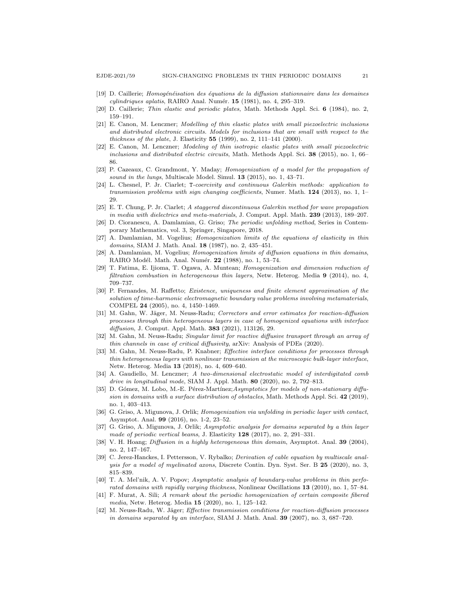- [19] D. Caillerie; Homogénéisation des équations de la diffusion stationnaire dans les domaines  $cylinderiques aplatis$ , RAIRO Anal. Numér.  $15$  (1981), no. 4, 295-319.
- [20] D. Caillerie; Thin elastic and periodic plates, Math. Methods Appl. Sci. 6 (1984), no. 2, 159–191.
- [21] E. Canon, M. Lenczner; Modelling of thin elastic plates with small piezoelectric inclusions and distributed electronic circuits. Models for inclusions that are small with respect to the thickness of the plate, J. Elasticity  $55$  (1999), no. 2, 111–141 (2000).
- [22] E. Canon, M. Lenczner; Modeling of thin isotropic elastic plates with small piezoelectric inclusions and distributed electric circuits, Math. Methods Appl. Sci. 38 (2015), no. 1, 66– 86.
- [23] P. Cazeaux, C. Grandmont, Y. Maday; Homogenization of a model for the propagation of sound in the lungs, Multiscale Model. Simul. **13** (2015), no. 1, 43–71.
- [24] L. Chesnel, P. Jr. Ciarlet; T-coercivity and continuous Galerkin methods: application to transmission problems with sign changing coefficients, Numer. Math.  $124$  (2013), no. 1, 1–  $29.$
- [25] E. T. Chung, P. Jr. Ciarlet; A staggered discontinuous Galerkin method for wave propagation in media with dielectrics and meta-materials, J. Comput. Appl. Math. 239 (2013), 189–207.
- [26] D. Cioranescu, A. Damlamian, G. Griso; The periodic unfolding method, Series in Contemporary Mathematics, vol. 3, Springer, Singapore, 2018.
- [27] A. Damlamian, M. Vogelius; Homogenization limits of the equations of elasticity in thin domains, SIAM J. Math. Anal. 18 (1987), no. 2, 435–451.
- [28] A. Damlamian, M. Vogelius; Homogenization limits of diffusion equations in thin domains, RAIRO Modél. Math. Anal. Numér. 22 (1988), no. 1, 53-74.
- [29] T. Fatima, E. Ijioma, T. Ogawa, A. Muntean; Homogenization and dimension reduction of filtration combustion in heterogeneous thin layers, Netw. Heterog. Media 9 (2014), no. 4, 709–737.
- [30] P. Fernandes, M. Raffetto; Existence, uniqueness and finite element approximation of the solution of time-harmonic electromagnetic boundary value problems involving metamaterials, COMPEL 24 (2005), no. 4, 1450–1469.
- [31] M. Gahn, W. Jäger, M. Neuss-Radu; Correctors and error estimates for reaction-diffusion processes through thin heterogeneous layers in case of homogenized equations with interface diffusion, J. Comput. Appl. Math. **383** (2021), 113126, 29.
- [32] M. Gahn, M. Neuss-Radu; Singular limit for reactive diffusive transport through an array of thin channels in case of critical diffusivity, arXiv: Analysis of PDEs (2020).
- [33] M. Gahn, M. Neuss-Radu, P. Knabner; Effective interface conditions for processes through thin heterogeneous layers with nonlinear transmission at the microscopic bulk-layer interface, Netw. Heterog. Media 13 (2018), no. 4, 609–640.
- [34] A. Gaudiello, M. Lenczner; A two-dimensional electrostatic model of interdigitated comb drive in longitudinal mode, SIAM J. Appl. Math.  $80$  (2020), no. 2, 792–813.
- [35] D. Gómez, M. Lobo, M.-E. Pérez-Martínez; Asymptotics for models of non-stationary diffusion in domains with a surface distribution of obstacles, Math. Methods Appl. Sci.  $42$  (2019), no. 1, 403–413.
- [36] G. Griso, A. Migunova, J. Orlik; Homogenization via unfolding in periodic layer with contact, Asymptot. Anal. 99 (2016), no. 1-2, 23–52.
- [37] G. Griso, A. Migunova, J. Orlik; Asymptotic analysis for domains separated by a thin layer made of periodic vertical beams, J. Elasticity 128 (2017), no. 2, 291–331.
- [38] V. H. Hoang; *Diffusion in a highly heterogeneous thin domain*, Asymptot. Anal. **39** (2004), no. 2, 147–167.
- [39] C. Jerez-Hanckes, I. Pettersson, V. Rybalko; Derivation of cable equation by multiscale analysis for a model of myelinated axons, Discrete Contin. Dyn. Syst. Ser. B 25 (2020), no. 3, 815–839.
- [40] T. A. Mel'nik, A. V. Popov; Asymptotic analysis of boundary-value problems in thin perforated domains with rapidly varying thickness, Nonlinear Oscillations 13 (2010), no. 1, 57–84.
- [41] F. Murat, A. Sili; A remark about the periodic homogenization of certain composite fibered media, Netw. Heterog. Media 15 (2020), no. 1, 125–142.
- [42] M. Neuss-Radu, W. Jäger; Effective transmission conditions for reaction-diffusion processes in domains separated by an interface, SIAM J. Math. Anal. 39 (2007), no. 3, 687-720.